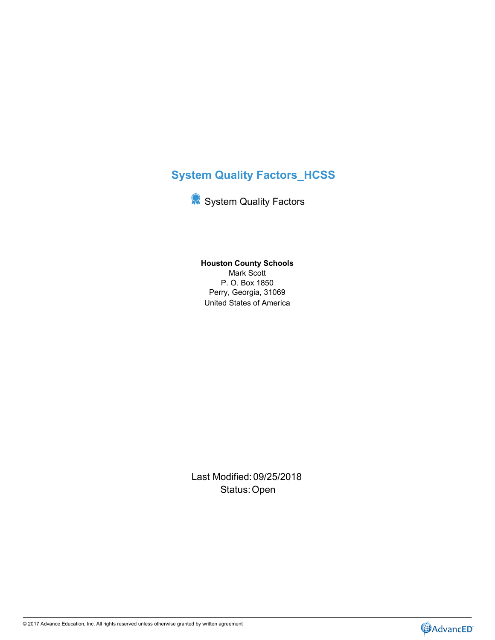# **System Quality Factors\_HCSS**

**System Quality Factors** 

United States of America **Houston County Schools** Mark Scott P. O. Box 1850 Perry, Georgia, 31069

Last Modified: 09/25/2018 Status: Open **Contract Contract Contract Contract Contract Contract Contract Contract Contract Contract Contract Contract Contract Contract Contract Contract Contract Contract Contract Contract Contract Contract Contract C** 



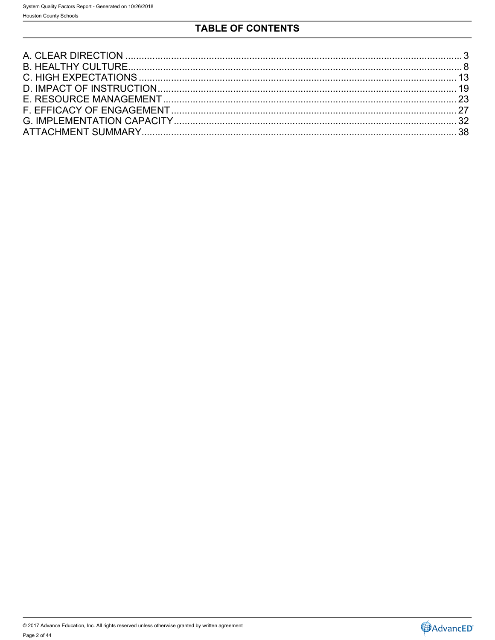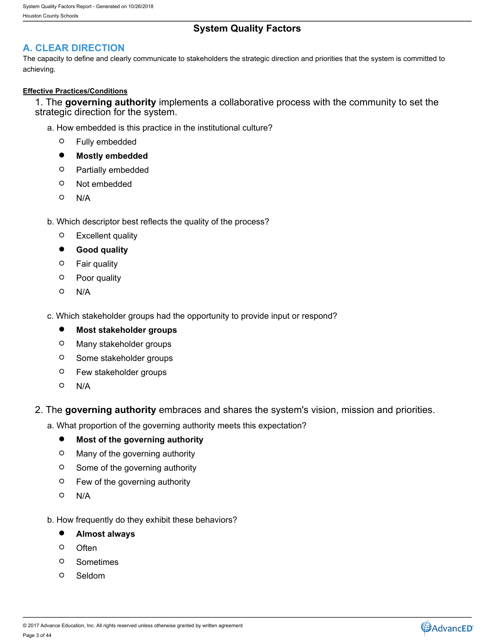# **System Quality Factors**

# <span id="page-2-0"></span>**A. CLEAR DIRECTION**

The capacity to define and clearly communicate to stakeholders the strategic direction and priorities that the system is committed to achieving.

### **Effective Practices/Conditions**

1. The **governing authority** implements a collaborative process with the community to set the strategic direction for the system.

- a. How embedded is this practice in the institutional culture?
	- $\circ$ Fully embedded
	- $\bullet$ **Mostly embedded**
	- $\circ$ Partially embedded
	- $\circ$ Not embedded
	- $\circ$ N/A
- b. Which descriptor best reflects the quality of the process?
	- $\circ$ Excellent quality
	- $\bullet$ **Good quality**
	- $\circ$ Fair quality
	- $\circ$ Poor quality
	- $\circ$ N/A
- c. Which stakeholder groups had the opportunity to provide input or respond?
	- $\bullet$ **Most stakeholder groups**
	- $\circ$ Many stakeholder groups
	- $\circ$ Some stakeholder groups
	- $\circ$ Few stakeholder groups
	- $\circ$ N/A
- 2. The **governing authority** embraces and shares the system's vision, mission and priorities.

a. What proportion of the governing authority meets this expectation?

#### $\bullet$ **Most of the governing authority**

- $\circ$ Many of the governing authority
- $\circ$ Some of the governing authority
- $\circ$ Few of the governing authority
- $\circ$ N/A
- b. How frequently do they exhibit these behaviors?
	- $\bullet$ **Almost always**
	- $\Omega$ Often **Often Contract Contract Contract Contract Contract Contract Contract Contract Contract Contract Contract Contract Contract Contract Contract Contract Contract Contract Contract Contract Contract Contract Contract**
	- $\circ$ Sometimes
	- $\circ$ Seldom



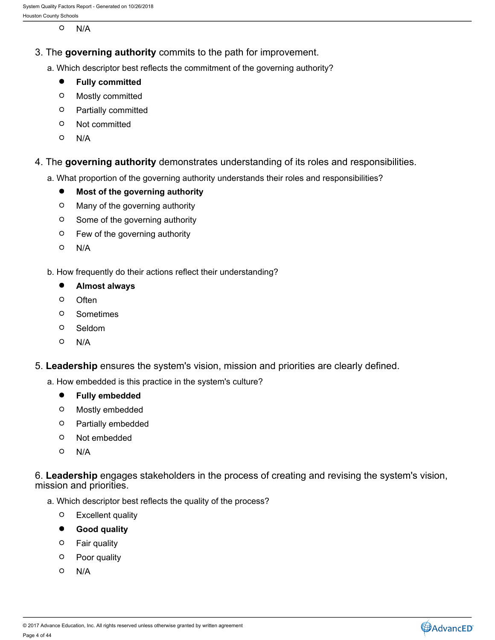$\circ$ N/A

- 3. The **governing authority** commits to the path for improvement.
	- a. Which descriptor best reflects the commitment of the governing authority?
		- $\bullet$ **Fully committed**
		- $\circ$ Mostly committed
		- Partially committed
		- $\circ$ Not committed
		- N/A
- 4. The **governing authority** demonstrates understanding of its roles and responsibilities.
	- a. What proportion of the governing authority understands their roles and responsibilities?
		- $\bullet$ **Most of the governing authority**
		- $\circ$ Many of the governing authority
		- $\circ$ Some of the governing authority
		- $\circ$ Few of the governing authority
		- N/A
	- b. How frequently do their actions reflect their understanding?
		- $\bullet$ **Almost always**
		- $\circ$ Often **Often Contract Contract Contract Contract Contract Contract Contract Contract Contract Contract Contract Contract Contract Contract Contract Contract Contract Contract Contract Contract Contract Contract Contract**
		- $\circ$ **Sometimes**
		- $\circ$ Seldom
		- N/A
- 5. **Leadership** ensures the system's vision, mission and priorities are clearly defined.
	- a. How embedded is this practice in the system's culture?
		- $\bullet$ **Fully embedded**
		- Mostly embedded
		- $\circ$ Partially embedded
		- $\circ$ Not embedded
		- N/A

6. **Leadership** engages stakeholders in the process of creating and revising the system's vision, mission and priorities.

- a. Which descriptor best reflects the quality of the process?
	- Excellent quality
	- **Good quality**
	- Fair quality
	- Poor quality
	- N/A

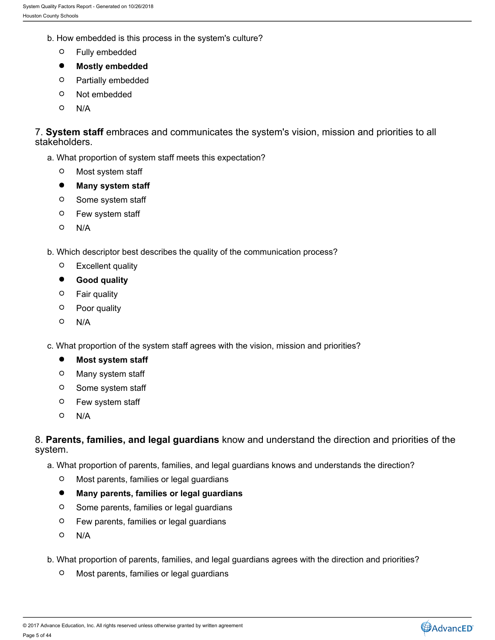- b. How embedded is this process in the system's culture?
	- $\circ$ Fully embedded
	- $\bullet$ **Mostly embedded**
	- $\circ$ Partially embedded
	- $\circ$ Not embedded
	- $\circ$ N/A

7. **System staff** embraces and communicates the system's vision, mission and priorities to all stakeholders.

- a. What proportion of system staff meets this expectation?
	- $\circ$ Most system staff
	- $\bullet$ **Many system staff**
	- $\circ$ Some system staff
	- Few system staff
	- N/A
- b. Which descriptor best describes the quality of the communication process?
	- $\circ$ Excellent quality
	- $\bullet$ **Good quality**
	- Fair quality
	- Poor quality
	- $\circ$ N/A

c. What proportion of the system staff agrees with the vision, mission and priorities?

- $\bullet$ **Most system staff**
- $\circ$ Many system staff
- $\circ$ Some system staff
- Few system staff
- $\circ$ N/A

8. **Parents, families, and legal guardians** know and understand the direction and priorities of the system.

a. What proportion of parents, families, and legal guardians knows and understands the direction?

- $\circ$ Most parents, families or legal guardians
- $\bullet$ **Many parents, families or legal guardians**
- $\circ$ Some parents, families or legal guardians
- Few parents, families or legal guardians
- $\circ$ N/A
- b. What proportion of parents, families, and legal guardians agrees with the direction and priorities?
	- $\circ$ Most parents, families or legal guardians

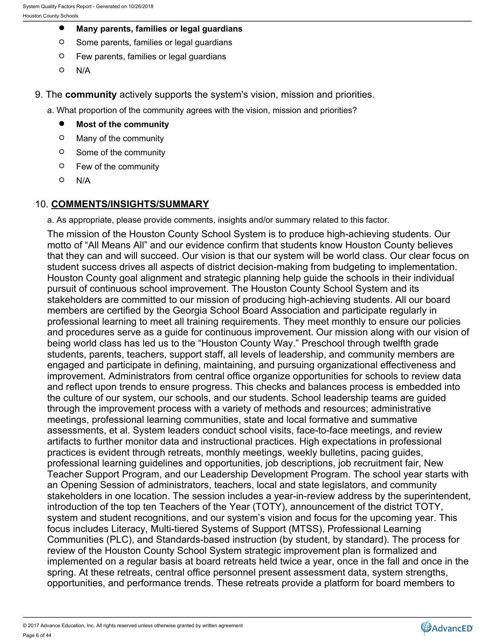- $\bullet$ **Many parents, families or legal guardians**
- $\circ$ Some parents, families or legal guardians
- $\circ$ Few parents, families or legal guardians
- $\Omega$ N/A
- 9. The **community** actively supports the system's vision, mission and priorities.
	- a. What proportion of the community agrees with the vision, mission and priorities?
		- $\bullet$ **Most of the community**
		- $\circ$ Many of the community
		- $\circ$ Some of the community
		- $\circ$ Few of the community
		- $\circ$ N/A

# 10. **COMMENTS/INSIGHTS/SUMMARY**

a. As appropriate, please provide comments, insights and/or summary related to this factor.

The mission of the Houston County School System is to produce high-achieving students. Our motto of "All Means All" and our evidence confirm that students know Houston County believes that they can and will succeed. Our vision is that our system will be world class. Our clear focus on student success drives all aspects of district decision-making from budgeting to implementation. Houston County goal alignment and strategic planning help guide the schools in their individual pursuit of continuous school improvement. The Houston County School System and its stakeholders are committed to our mission of producing high-achieving students. All our board members are certified by the Georgia School Board Association and participate regularly in professional learning to meet all training requirements. They meet monthly to ensure our policies and procedures serve as a guide for continuous improvement. Our mission along with our vision of being world class has led us to the "Houston County Way." Preschool through twelfth grade students, parents, teachers, support staff, all levels of leadership, and community members are engaged and participate in defining, maintaining, and pursuing organizational effectiveness and improvement. Administrators from central office organize opportunities for schools to review data and reflect upon trends to ensure progress. This checks and balances process is embedded into the culture of our system, our schools, and our students. School leadership teams are guided through the improvement process with a variety of methods and resources; administrative meetings, professional learning communities, state and local formative and summative assessments, et al. System leaders conduct school visits, face-to-face meetings, and review artifacts to further monitor data and instructional practices. High expectations in professional practices is evident through retreats, monthly meetings, weekly bulletins, pacing guides, professional learning guidelines and opportunities, job descriptions, job recruitment fair, New Teacher Support Program, and our Leadership Development Program. The school year starts with an Opening Session of administrators, teachers, local and state legislators, and community stakeholders in one location. The session includes a year-in-review address by the superintendent, introduction of the top ten Teachers of the Year (TOTY), announcement of the district TOTY, system and student recognitions, and our system's vision and focus for the upcoming year. This focus includes Literacy, Multi-tiered Systems of Support (MTSS), Professional Learning Communities (PLC), and Standards-based instruction (by student, by standard). The process for review of the Houston County School System strategic improvement plan is formalized and implemented on a regular basis at board retreats held twice a year, once in the fall and once in the spring. At these retreats, central office personnel present assessment data, system strengths, opportunities, and performance trends. These retreats provide a platform for board members to

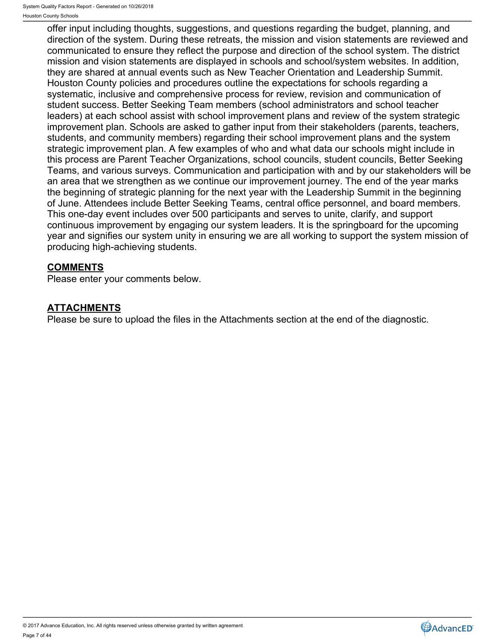offer input including thoughts, suggestions, and questions regarding the budget, planning, and direction of the system. During these retreats, the mission and vision statements are reviewed and communicated to ensure they reflect the purpose and direction of the school system. The district mission and vision statements are displayed in schools and school/system websites. In addition, they are shared at annual events such as New Teacher Orientation and Leadership Summit. Houston County policies and procedures outline the expectations for schools regarding a systematic, inclusive and comprehensive process for review, revision and communication of student success. Better Seeking Team members (school administrators and school teacher leaders) at each school assist with school improvement plans and review of the system strategic improvement plan. Schools are asked to gather input from their stakeholders (parents, teachers, students, and community members) regarding their school improvement plans and the system strategic improvement plan. A few examples of who and what data our schools might include in this process are Parent Teacher Organizations, school councils, student councils, Better Seeking Teams, and various surveys. Communication and participation with and by our stakeholders will be an area that we strengthen as we continue our improvement journey. The end of the year marks the beginning of strategic planning for the next year with the Leadership Summit in the beginning of June. Attendees include Better Seeking Teams, central office personnel, and board members. This one-day event includes over 500 participants and serves to unite, clarify, and support continuous improvement by engaging our system leaders. It is the springboard for the upcoming year and signifies our system unity in ensuring we are all working to support the system mission of producing high-achieving students.

# **COMMENTS**

Please enter your comments below.

# **ATTACHMENTS**

Please be sure to upload the files in the Attachments section at the end of the diagnostic.

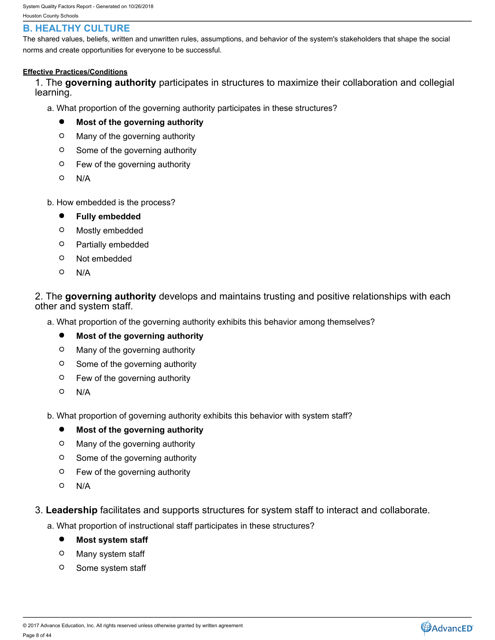# <span id="page-7-0"></span>**B. HEALTHY CULTURE**

The shared values, beliefs, written and unwritten rules, assumptions, and behavior of the system's stakeholders that shape the social norms and create opportunities for everyone to be successful.

### **Effective Practices/Conditions**

1. The **governing authority** participates in structures to maximize their collaboration and collegial learning.

a. What proportion of the governing authority participates in these structures?

- $\bullet$ **Most of the governing authority**
- $\circ$ Many of the governing authority
- $\circ$ Some of the governing authority
- $\circ$ Few of the governing authority
- N/A
- b. How embedded is the process?
	- $\bullet$ **Fully embedded**
	- $\circ$ Mostly embedded
	- $\circ$ Partially embedded
	- $\circ$ Not embedded
	- $\Omega$ N/A

## 2. The **governing authority** develops and maintains trusting and positive relationships with each other and system staff.

a. What proportion of the governing authority exhibits this behavior among themselves?

- $\bullet$ **Most of the governing authority**
- $\circ$ Many of the governing authority
- $\circ$ Some of the governing authority
- $\circ$ Few of the governing authority
- $\Omega$ N/A
- b. What proportion of governing authority exhibits this behavior with system staff?

#### $\bullet$ **Most of the governing authority**

- $\circ$ Many of the governing authority
- $\circ$ Some of the governing authority
- $\circ$ Few of the governing authority
- $\circ$ N/A
- 3. **Leadership** facilitates and supports structures for system staff to interact and collaborate.
	- a. What proportion of instructional staff participates in these structures?
		- $\bullet$ **Most system staff**
		- $\circ$ Many system staff
		- $\circ$ Some system staff

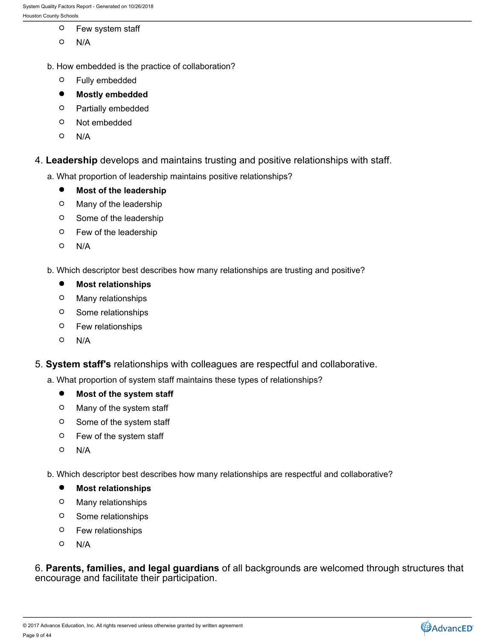- $\circ$ Few system staff
- $\circ$ N/A
- b. How embedded is the practice of collaboration?
	- $\circ$ Fully embedded
	- $\bullet$ **Mostly embedded**
	- $\circ$ Partially embedded
	- $\circ$ Not embedded
	- N/A
- 4. **Leadership** develops and maintains trusting and positive relationships with staff.
	- a. What proportion of leadership maintains positive relationships?
		- $\bullet$ **Most of the leadership**
		- $\circ$ Many of the leadership
		- $\circ$ Some of the leadership
		- Few of the leadership
		- N/A
	- b. Which descriptor best describes how many relationships are trusting and positive?
		- $\bullet$ **Most relationships**
		- Many relationships
		- Some relationships
		- Few relationships
		- N/A
- 5. **System staff's** relationships with colleagues are respectful and collaborative.
	- a. What proportion of system staff maintains these types of relationships?
		- $\bullet$ **Most of the system staff**
		- $\circ$ Many of the system staff
		- $\circ$ Some of the system staff
		- Few of the system staff
		- $\circ$ N/A
	- b. Which descriptor best describes how many relationships are respectful and collaborative?
		- $\bullet$ **Most relationships**
		- $\circ$ Many relationships
		- $\circ$ Some relationships
		- Few relationships
		- $\circ$ N/A

6. **Parents, families, and legal guardians** of all backgrounds are welcomed through structures that encourage and facilitate their participation.

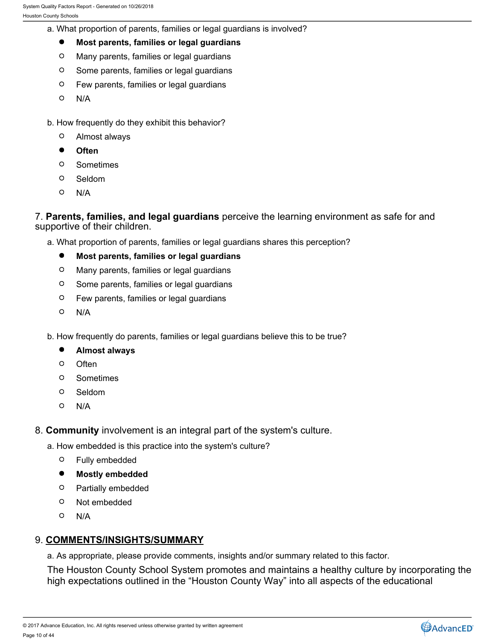- a. What proportion of parents, families or legal guardians is involved?
	- $\bullet$ **Most parents, families or legal guardians**
	- $\circ$ Many parents, families or legal guardians
	- $\circ$ Some parents, families or legal guardians
	- $\circ$ Few parents, families or legal guardians
	- $\circ$ N/A
- b. How frequently do they exhibit this behavior?
	- $\circ$ Almost always
	- $\bullet$ **Often**
	- $\circ$ Sometimes
	- $\circ$ Seldom
	- $\circ$ N/A

7. **Parents, families, and legal guardians** perceive the learning environment as safe for and supportive of their children.

- a. What proportion of parents, families or legal guardians shares this perception?
	- $\bullet$ **Most parents, families or legal guardians**
	- $\circ$ Many parents, families or legal guardians
	- $\circ$ Some parents, families or legal guardians
	- $\circ$ Few parents, families or legal guardians
	- $\circ$ N/A
- b. How frequently do parents, families or legal guardians believe this to be true?
	- $\bullet$ **Almost always**
	- $\circ$ Often **Often Contract Contract Contract Contract Contract Contract Contract Contract Contract Contract Contract Contract Contract Contract Contract Contract Contract Contract Contract Contract Contract Contract Contract**
	- $\circ$ Sometimes
	- $\circ$ Seldom
	- O N/A
- 8. **Community** involvement is an integral part of the system's culture.
	- a. How embedded is this practice into the system's culture?
		- $\circ$ Fully embedded
		- $\bullet$ **Mostly embedded**
		- $\Omega$ Partially embedded
		- $\circ$ Not embedded
		- $\circ$ N/A

## 9. **COMMENTS/INSIGHTS/SUMMARY**

a. As appropriate, please provide comments, insights and/or summary related to this factor.

The Houston County School System promotes and maintains a healthy culture by incorporating the high expectations outlined in the "Houston County Way" into all aspects of the educational

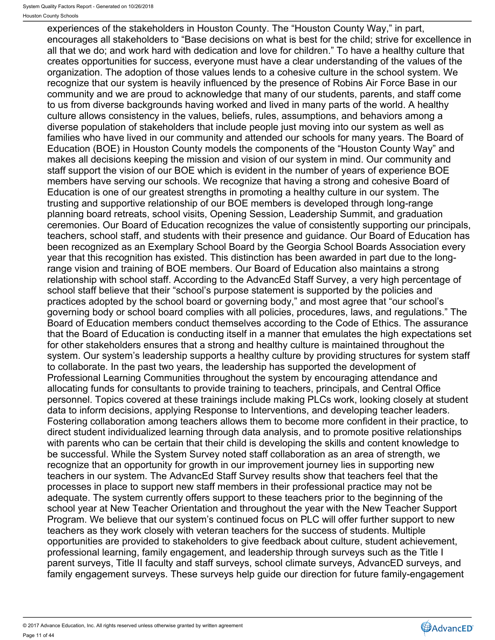experiences of the stakeholders in Houston County. The "Houston County Way," in part, encourages all stakeholders to "Base decisions on what is best for the child; strive for excellence in all that we do; and work hard with dedication and love for children." To have a healthy culture that creates opportunities for success, everyone must have a clear understanding of the values of the organization. The adoption of those values lends to a cohesive culture in the school system. We recognize that our system is heavily influenced by the presence of Robins Air Force Base in our community and we are proud to acknowledge that many of our students, parents, and staff come to us from diverse backgrounds having worked and lived in many parts of the world. A healthy culture allows consistency in the values, beliefs, rules, assumptions, and behaviors among a diverse population of stakeholders that include people just moving into our system as well as families who have lived in our community and attended our schools for many years. The Board of Education (BOE) in Houston County models the components of the "Houston County Way" and makes all decisions keeping the mission and vision of our system in mind. Our community and staff support the vision of our BOE which is evident in the number of years of experience BOE members have serving our schools. We recognize that having a strong and cohesive Board of Education is one of our greatest strengths in promoting a healthy culture in our system. The trusting and supportive relationship of our BOE members is developed through long-range planning board retreats, school visits, Opening Session, Leadership Summit, and graduation ceremonies. Our Board of Education recognizes the value of consistently supporting our principals, teachers, school staff, and students with their presence and guidance. Our Board of Education has been recognized as an Exemplary School Board by the Georgia School Boards Association every year that this recognition has existed. This distinction has been awarded in part due to the longrange vision and training of BOE members. Our Board of Education also maintains a strong relationship with school staff. According to the AdvancEd Staff Survey, a very high percentage of school staff believe that their "school's purpose statement is supported by the policies and practices adopted by the school board or governing body," and most agree that "our school's governing body or school board complies with all policies, procedures, laws, and regulations." The Board of Education members conduct themselves according to the Code of Ethics. The assurance that the Board of Education is conducting itself in a manner that emulates the high expectations set for other stakeholders ensures that a strong and healthy culture is maintained throughout the system. Our system's leadership supports a healthy culture by providing structures for system staff to collaborate. In the past two years, the leadership has supported the development of Professional Learning Communities throughout the system by encouraging attendance and allocating funds for consultants to provide training to teachers, principals, and Central Office personnel. Topics covered at these trainings include making PLCs work, looking closely at student data to inform decisions, applying Response to Interventions, and developing teacher leaders. Fostering collaboration among teachers allows them to become more confident in their practice, to direct student individualized learning through data analysis, and to promote positive relationships with parents who can be certain that their child is developing the skills and content knowledge to be successful. While the System Survey noted staff collaboration as an area of strength, we recognize that an opportunity for growth in our improvement journey lies in supporting new teachers in our system. The AdvancEd Staff Survey results show that teachers feel that the processes in place to support new staff members in their professional practice may not be adequate. The system currently offers support to these teachers prior to the beginning of the school year at New Teacher Orientation and throughout the year with the New Teacher Support Program. We believe that our system's continued focus on PLC will offer further support to new teachers as they work closely with veteran teachers for the success of students. Multiple opportunities are provided to stakeholders to give feedback about culture, student achievement, professional learning, family engagement, and leadership through surveys such as the Title I parent surveys, Title II faculty and staff surveys, school climate surveys, AdvancED surveys, and family engagement surveys. These surveys help guide our direction for future family-engagement

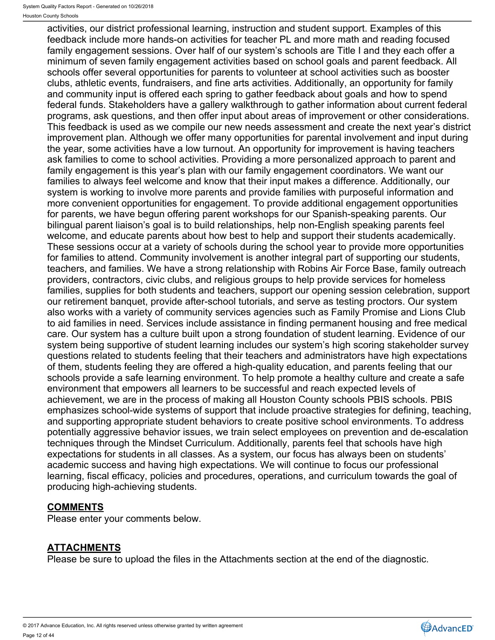activities, our district professional learning, instruction and student support. Examples of this feedback include more hands-on activities for teacher PL and more math and reading focused family engagement sessions. Over half of our system's schools are Title I and they each offer a minimum of seven family engagement activities based on school goals and parent feedback. All schools offer several opportunities for parents to volunteer at school activities such as booster clubs, athletic events, fundraisers, and fine arts activities. Additionally, an opportunity for family and community input is offered each spring to gather feedback about goals and how to spend federal funds. Stakeholders have a gallery walkthrough to gather information about current federal programs, ask questions, and then offer input about areas of improvement or other considerations. This feedback is used as we compile our new needs assessment and create the next year's district improvement plan. Although we offer many opportunities for parental involvement and input during the year, some activities have a low turnout. An opportunity for improvement is having teachers ask families to come to school activities. Providing a more personalized approach to parent and family engagement is this year's plan with our family engagement coordinators. We want our families to always feel welcome and know that their input makes a difference. Additionally, our system is working to involve more parents and provide families with purposeful information and more convenient opportunities for engagement. To provide additional engagement opportunities for parents, we have begun offering parent workshops for our Spanish-speaking parents. Our bilingual parent liaison's goal is to build relationships, help non-English speaking parents feel welcome, and educate parents about how best to help and support their students academically. These sessions occur at a variety of schools during the school year to provide more opportunities for families to attend. Community involvement is another integral part of supporting our students, teachers, and families. We have a strong relationship with Robins Air Force Base, family outreach providers, contractors, civic clubs, and religious groups to help provide services for homeless families, supplies for both students and teachers, support our opening session celebration, support our retirement banquet, provide after-school tutorials, and serve as testing proctors. Our system also works with a variety of community services agencies such as Family Promise and Lions Club to aid families in need. Services include assistance in finding permanent housing and free medical care. Our system has a culture built upon a strong foundation of student learning. Evidence of our system being supportive of student learning includes our system's high scoring stakeholder survey questions related to students feeling that their teachers and administrators have high expectations of them, students feeling they are offered a high-quality education, and parents feeling that our schools provide a safe learning environment. To help promote a healthy culture and create a safe environment that empowers all learners to be successful and reach expected levels of achievement, we are in the process of making all Houston County schools PBIS schools. PBIS emphasizes school-wide systems of support that include proactive strategies for defining, teaching, and supporting appropriate student behaviors to create positive school environments. To address potentially aggressive behavior issues, we train select employees on prevention and de-escalation techniques through the Mindset Curriculum. Additionally, parents feel that schools have high expectations for students in all classes. As a system, our focus has always been on students' academic success and having high expectations. We will continue to focus our professional learning, fiscal efficacy, policies and procedures, operations, and curriculum towards the goal of producing high-achieving students.

# **COMMENTS**

Please enter your comments below.

# **ATTACHMENTS**

Please be sure to upload the files in the Attachments section at the end of the diagnostic.

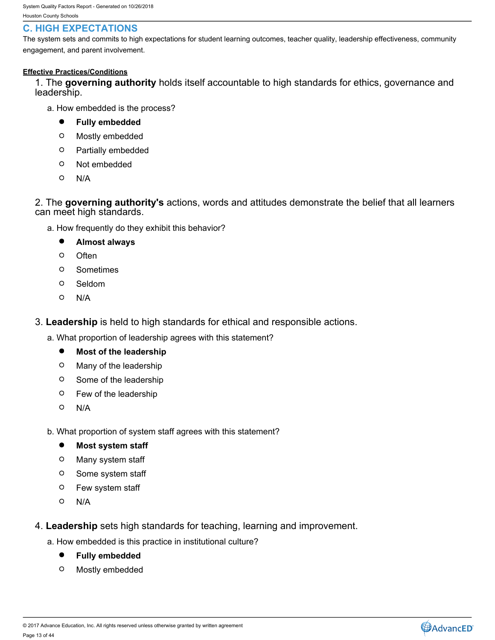# <span id="page-12-0"></span>**C. HIGH EXPECTATIONS**

The system sets and commits to high expectations for student learning outcomes, teacher quality, leadership effectiveness, community engagement, and parent involvement.

### **Effective Practices/Conditions**

1. The **governing authority** holds itself accountable to high standards for ethics, governance and leadership.

- a. How embedded is the process?
	- $\bullet$ **Fully embedded**
	- $\circ$ Mostly embedded
	- $\circ$ Partially embedded
	- $\circ$ Not embedded
	- $\circ$ N/A

2. The **governing authority's** actions, words and attitudes demonstrate the belief that all learners can meet high standards.

- a. How frequently do they exhibit this behavior?
	- $\bullet$ **Almost always**
	- **Often**  $\Omega$
	- $\circ$ Sometimes
	- $\circ$ Seldom
	- $\circ$ N/A

3. **Leadership** is held to high standards for ethical and responsible actions.

- a. What proportion of leadership agrees with this statement?
	- $\bullet$ **Most of the leadership**
	- $\circ$ Many of the leadership
	- $\circ$ Some of the leadership
	- $\circ$ Few of the leadership
	- $\circ$ N/A

b. What proportion of system staff agrees with this statement?

- $\bullet$ **Most system staff**
- $\circ$ Many system staff
- $\circ$ Some system staff
- $\circ$ Few system staff
- $\circ$ N/A
- 4. **Leadership** sets high standards for teaching, learning and improvement.
	- a. How embedded is this practice in institutional culture?
		- $\bullet$ **Fully embedded**
		- $\circ$ Mostly embedded

© 2017 Advance Education, Inc. All rights reserved unless otherwise granted by written agreement Page 13 of 44

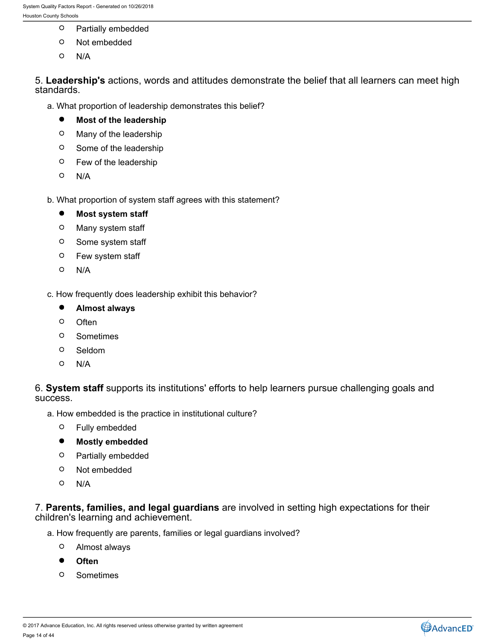- $\circ$ Partially embedded
- $\circ$ Not embedded
- $\circ$ N/A

5. **Leadership's** actions, words and attitudes demonstrate the belief that all learners can meet high standards.

- a. What proportion of leadership demonstrates this belief?
	- $\bullet$ **Most of the leadership**
	- $\circ$ Many of the leadership
	- $\circ$ Some of the leadership
	- $\circ$ Few of the leadership
	- $\circ$ N/A
- b. What proportion of system staff agrees with this statement?
	- **Most system staff**  $\bullet$
	- $\circ$ Many system staff
	- $\circ$ Some system staff
	- $\circ$ Few system staff
	- $\circ$ N/A

c. How frequently does leadership exhibit this behavior?

- $\bullet$ **Almost always**
- $\circ$ Often **Often Contract Contract Contract Contract Contract Contract Contract Contract Contract Contract Contract Contract Contract Contract Contract Contract Contract Contract Contract Contract Contract Contract Contract**
- $\circ$ Sometimes
- $\circ$ Seldom
- $\circ$ N/A

6. **System staff** supports its institutions' efforts to help learners pursue challenging goals and success.

- a. How embedded is the practice in institutional culture?
	- $\circ$ Fully embedded
	- $\bullet$ **Mostly embedded**
	- $\circ$ Partially embedded
	- $\circ$ Not embedded
	- $\circ$ N/A

7. **Parents, families, and legal guardians** are involved in setting high expectations for their children's learning and achievement.

- a. How frequently are parents, families or legal guardians involved?
	- $\circ$ Almost always
	- $\bullet$ **Often**
	- Sometimes  $\circ$

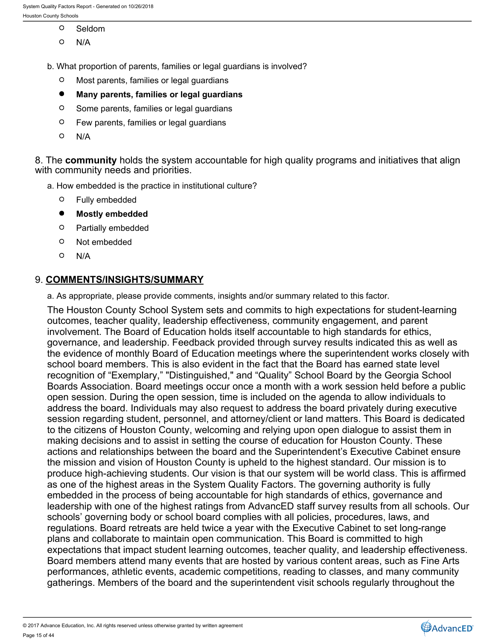- $\circ$ Seldom
- $\Omega$ N/A
- b. What proportion of parents, families or legal guardians is involved?
	- $\circ$ Most parents, families or legal guardians
	- $\bullet$ **Many parents, families or legal guardians**
	- $\circ$ Some parents, families or legal guardians
	- $\circ$ Few parents, families or legal guardians
	- $\circ$ N/A

8. The **community** holds the system accountable for high quality programs and initiatives that align with community needs and priorities.

- a. How embedded is the practice in institutional culture?
	- $\circ$ Fully embedded
	- $\bullet$ **Mostly embedded**
	- $\circ$ Partially embedded
	- $\circ$ Not embedded
	- $\circ$ N/A

## 9. **COMMENTS/INSIGHTS/SUMMARY**

a. As appropriate, please provide comments, insights and/or summary related to this factor.

The Houston County School System sets and commits to high expectations for student-learning outcomes, teacher quality, leadership effectiveness, community engagement, and parent involvement. The Board of Education holds itself accountable to high standards for ethics, governance, and leadership. Feedback provided through survey results indicated this as well as the evidence of monthly Board of Education meetings where the superintendent works closely with school board members. This is also evident in the fact that the Board has earned state level recognition of "Exemplary," "Distinguished," and "Quality" School Board by the Georgia School Boards Association. Board meetings occur once a month with a work session held before a public open session. During the open session, time is included on the agenda to allow individuals to address the board. Individuals may also request to address the board privately during executive session regarding student, personnel, and attorney/client or land matters. This Board is dedicated to the citizens of Houston County, welcoming and relying upon open dialogue to assist them in making decisions and to assist in setting the course of education for Houston County. These actions and relationships between the board and the Superintendent's Executive Cabinet ensure the mission and vision of Houston County is upheld to the highest standard. Our mission is to produce high-achieving students. Our vision is that our system will be world class. This is affirmed as one of the highest areas in the System Quality Factors. The governing authority is fully embedded in the process of being accountable for high standards of ethics, governance and leadership with one of the highest ratings from AdvancED staff survey results from all schools. Our schools' governing body or school board complies with all policies, procedures, laws, and regulations. Board retreats are held twice a year with the Executive Cabinet to set long-range plans and collaborate to maintain open communication. This Board is committed to high expectations that impact student learning outcomes, teacher quality, and leadership effectiveness. Board members attend many events that are hosted by various content areas, such as Fine Arts performances, athletic events, academic competitions, reading to classes, and many community gatherings. Members of the board and the superintendent visit schools regularly throughout the

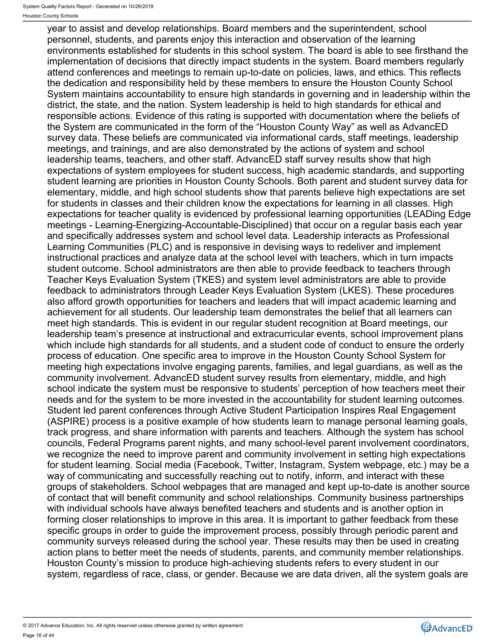year to assist and develop relationships. Board members and the superintendent, school personnel, students, and parents enjoy this interaction and observation of the learning environments established for students in this school system. The board is able to see firsthand the implementation of decisions that directly impact students in the system. Board members regularly attend conferences and meetings to remain up-to-date on policies, laws, and ethics. This reflects the dedication and responsibility held by these members to ensure the Houston County School System maintains accountability to ensure high standards in governing and in leadership within the district, the state, and the nation. System leadership is held to high standards for ethical and responsible actions. Evidence of this rating is supported with documentation where the beliefs of the System are communicated in the form of the "Houston County Way" as well as AdvancED survey data. These beliefs are communicated via informational cards, staff meetings, leadership meetings, and trainings, and are also demonstrated by the actions of system and school leadership teams, teachers, and other staff. AdvancED staff survey results show that high expectations of system employees for student success, high academic standards, and supporting student learning are priorities in Houston County Schools. Both parent and student survey data for elementary, middle, and high school students show that parents believe high expectations are set for students in classes and their children know the expectations for learning in all classes. High expectations for teacher quality is evidenced by professional learning opportunities (LEADing Edge meetings - Learning-Energizing-Accountable-Disciplined) that occur on a regular basis each year and specifically addresses system and school level data. Leadership interacts as Professional Learning Communities (PLC) and is responsive in devising ways to redeliver and implement instructional practices and analyze data at the school level with teachers, which in turn impacts student outcome. School administrators are then able to provide feedback to teachers through Teacher Keys Evaluation System (TKES) and system level administrators are able to provide feedback to administrators through Leader Keys Evaluation System (LKES). These procedures also afford growth opportunities for teachers and leaders that will impact academic learning and achievement for all students. Our leadership team demonstrates the belief that all learners can meet high standards. This is evident in our regular student recognition at Board meetings, our leadership team's presence at instructional and extracurricular events, school improvement plans which include high standards for all students, and a student code of conduct to ensure the orderly process of education. One specific area to improve in the Houston County School System for meeting high expectations involve engaging parents, families, and legal guardians, as well as the community involvement. AdvancED student survey results from elementary, middle, and high school indicate the system must be responsive to students' perception of how teachers meet their needs and for the system to be more invested in the accountability for student learning outcomes. Student led parent conferences through Active Student Participation Inspires Real Engagement (ASPIRE) process is a positive example of how students learn to manage personal learning goals, track progress, and share information with parents and teachers. Although the system has school councils, Federal Programs parent nights, and many school-level parent involvement coordinators, we recognize the need to improve parent and community involvement in setting high expectations for student learning. Social media (Facebook, Twitter, Instagram, System webpage, etc.) may be a way of communicating and successfully reaching out to notify, inform, and interact with these groups of stakeholders. School webpages that are managed and kept up-to-date is another source of contact that will benefit community and school relationships. Community business partnerships with individual schools have always benefited teachers and students and is another option in forming closer relationships to improve in this area. It is important to gather feedback from these specific groups in order to guide the improvement process, possibly through periodic parent and community surveys released during the school year. These results may then be used in creating action plans to better meet the needs of students, parents, and community member relationships. Houston County's mission to produce high-achieving students refers to every student in our system, regardless of race, class, or gender. Because we are data driven, all the system goals are

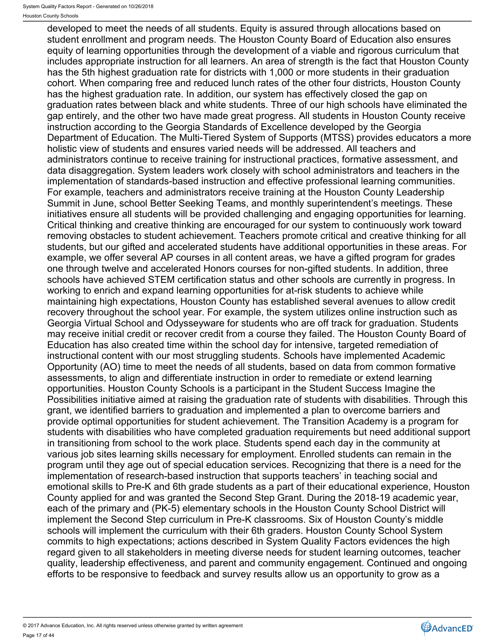developed to meet the needs of all students. Equity is assured through allocations based on student enrollment and program needs. The Houston County Board of Education also ensures equity of learning opportunities through the development of a viable and rigorous curriculum that includes appropriate instruction for all learners. An area of strength is the fact that Houston County has the 5th highest graduation rate for districts with 1,000 or more students in their graduation cohort. When comparing free and reduced lunch rates of the other four districts, Houston County has the highest graduation rate. In addition, our system has effectively closed the gap on graduation rates between black and white students. Three of our high schools have eliminated the gap entirely, and the other two have made great progress. All students in Houston County receive instruction according to the Georgia Standards of Excellence developed by the Georgia Department of Education. The Multi-Tiered System of Supports (MTSS) provides educators a more holistic view of students and ensures varied needs will be addressed. All teachers and administrators continue to receive training for instructional practices, formative assessment, and data disaggregation. System leaders work closely with school administrators and teachers in the implementation of standards-based instruction and effective professional learning communities. For example, teachers and administrators receive training at the Houston County Leadership Summit in June, school Better Seeking Teams, and monthly superintendent's meetings. These initiatives ensure all students will be provided challenging and engaging opportunities for learning. Critical thinking and creative thinking are encouraged for our system to continuously work toward removing obstacles to student achievement. Teachers promote critical and creative thinking for all students, but our gifted and accelerated students have additional opportunities in these areas. For example, we offer several AP courses in all content areas, we have a gifted program for grades one through twelve and accelerated Honors courses for non-gifted students. In addition, three schools have achieved STEM certification status and other schools are currently in progress. In working to enrich and expand learning opportunities for at-risk students to achieve while maintaining high expectations, Houston County has established several avenues to allow credit recovery throughout the school year. For example, the system utilizes online instruction such as Georgia Virtual School and Odysseyware for students who are off track for graduation. Students may receive initial credit or recover credit from a course they failed. The Houston County Board of Education has also created time within the school day for intensive, targeted remediation of instructional content with our most struggling students. Schools have implemented Academic Opportunity (AO) time to meet the needs of all students, based on data from common formative assessments, to align and differentiate instruction in order to remediate or extend learning opportunities. Houston County Schools is a participant in the Student Success Imagine the Possibilities initiative aimed at raising the graduation rate of students with disabilities. Through this grant, we identified barriers to graduation and implemented a plan to overcome barriers and provide optimal opportunities for student achievement. The Transition Academy is a program for students with disabilities who have completed graduation requirements but need additional support in transitioning from school to the work place. Students spend each day in the community at various job sites learning skills necessary for employment. Enrolled students can remain in the program until they age out of special education services. Recognizing that there is a need for the implementation of research-based instruction that supports teachers' in teaching social and emotional skills to Pre-K and 6th grade students as a part of their educational experience, Houston County applied for and was granted the Second Step Grant. During the 2018-19 academic year, each of the primary and (PK-5) elementary schools in the Houston County School District will implement the Second Step curriculum in Pre-K classrooms. Six of Houston County's middle schools will implement the curriculum with their 6th graders. Houston County School System commits to high expectations; actions described in System Quality Factors evidences the high regard given to all stakeholders in meeting diverse needs for student learning outcomes, teacher quality, leadership effectiveness, and parent and community engagement. Continued and ongoing efforts to be responsive to feedback and survey results allow us an opportunity to grow as a

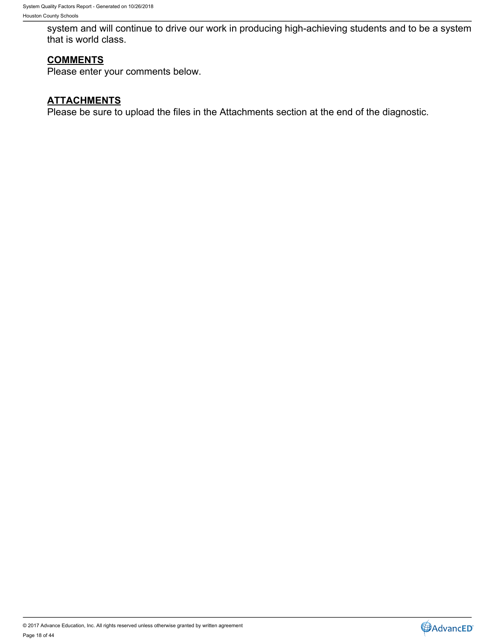system and will continue to drive our work in producing high-achieving students and to be a system that is world class.

# **COMMENTS**

Please enter your comments below.

# **ATTACHMENTS**

Please be sure to upload the files in the Attachments section at the end of the diagnostic.

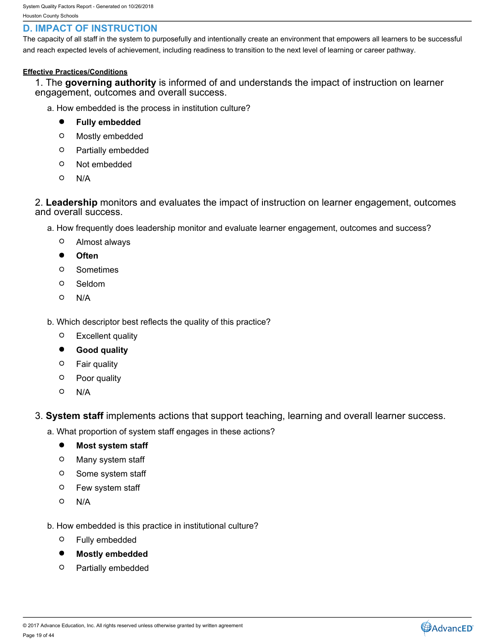# <span id="page-18-0"></span>**D. IMPACT OF INSTRUCTION**

The capacity of all staff in the system to purposefully and intentionally create an environment that empowers all learners to be successful and reach expected levels of achievement, including readiness to transition to the next level of learning or career pathway.

### **Effective Practices/Conditions**

1. The **governing authority** is informed of and understands the impact of instruction on learner engagement, outcomes and overall success.

- a. How embedded is the process in institution culture?
	- $\bullet$ **Fully embedded**
	- $\circ$ Mostly embedded
	- $\circ$ Partially embedded
	- $\circ$ Not embedded
	- $\circ$ N/A

2. **Leadership** monitors and evaluates the impact of instruction on learner engagement, outcomes and overall success.

- a. How frequently does leadership monitor and evaluate learner engagement, outcomes and success?
	- $\circ$ Almost always
	- $\bullet$ **Often**
	- $\circ$ Sometimes
	- $\circ$ Seldom
	- $\circ$ N/A
- b. Which descriptor best reflects the quality of this practice?
	- $\circ$ Excellent quality
	- $\bullet$ **Good quality**
	- $\circ$ Fair quality
	- $\circ$ Poor quality
	- $\circ$ N/A
- 3. **System staff** implements actions that support teaching, learning and overall learner success.
	- a. What proportion of system staff engages in these actions?
		- $\bullet$ **Most system staff**
		- $\circ$ Many system staff
		- $\circ$ Some system staff
		- $\circ$ Few system staff
		- $\circ$ N/A
	- b. How embedded is this practice in institutional culture?
		- $\circ$ Fully embedded
		- $\bullet$ **Mostly embedded**
		- $\circ$ Partially embedded

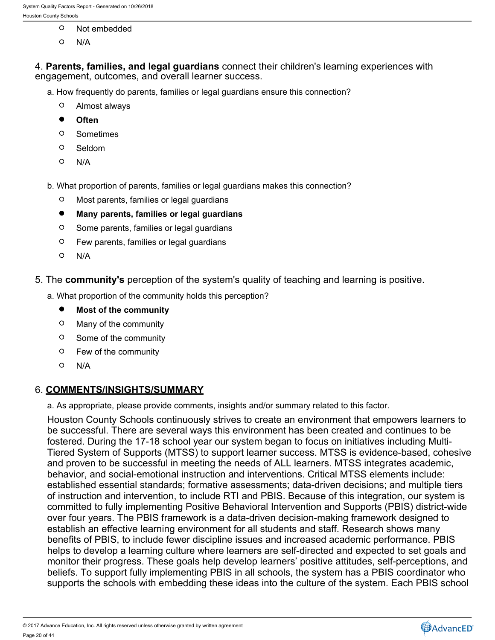- $\circ$ Not embedded
- $\Omega$ N/A

4. **Parents, families, and legal guardians** connect their children's learning experiences with engagement, outcomes, and overall learner success.

- a. How frequently do parents, families or legal guardians ensure this connection?
	- $\circ$ Almost always
	- $\bullet$ **Often**
	- $\Omega$ Sometimes
	- $\circ$ Seldom
	- $\circ$ N/A
- b. What proportion of parents, families or legal guardians makes this connection?
	- $\circ$ Most parents, families or legal guardians
	- $\bullet$ **Many parents, families or legal guardians**
	- $\circ$ Some parents, families or legal guardians
	- $\circ$ Few parents, families or legal guardians
	- $\circ$ N/A
- 5. The **community's** perception of the system's quality of teaching and learning is positive.
	- a. What proportion of the community holds this perception?
		- $\bullet$ **Most of the community**
		- $\circ$ Many of the community
		- $\circ$ Some of the community
		- $\circ$ Few of the community
		- $\circ$ N/A

### 6. **COMMENTS/INSIGHTS/SUMMARY**

a. As appropriate, please provide comments, insights and/or summary related to this factor.

Houston County Schools continuously strives to create an environment that empowers learners to be successful. There are several ways this environment has been created and continues to be fostered. During the 17-18 school year our system began to focus on initiatives including Multi-Tiered System of Supports (MTSS) to support learner success. MTSS is evidence-based, cohesive and proven to be successful in meeting the needs of ALL learners. MTSS integrates academic, behavior, and social-emotional instruction and interventions. Critical MTSS elements include: established essential standards; formative assessments; data-driven decisions; and multiple tiers of instruction and intervention, to include RTI and PBIS. Because of this integration, our system is committed to fully implementing Positive Behavioral Intervention and Supports (PBIS) district-wide over four years. The PBIS framework is a data-driven decision-making framework designed to establish an effective learning environment for all students and staff. Research shows many benefits of PBIS, to include fewer discipline issues and increased academic performance. PBIS helps to develop a learning culture where learners are self-directed and expected to set goals and monitor their progress. These goals help develop learners' positive attitudes, self-perceptions, and beliefs. To support fully implementing PBIS in all schools, the system has a PBIS coordinator who supports the schools with embedding these ideas into the culture of the system. Each PBIS school



<sup>© 2017</sup> Advance Education, Inc. All rights reserved unless otherwise granted by written agreement Page 20 of 44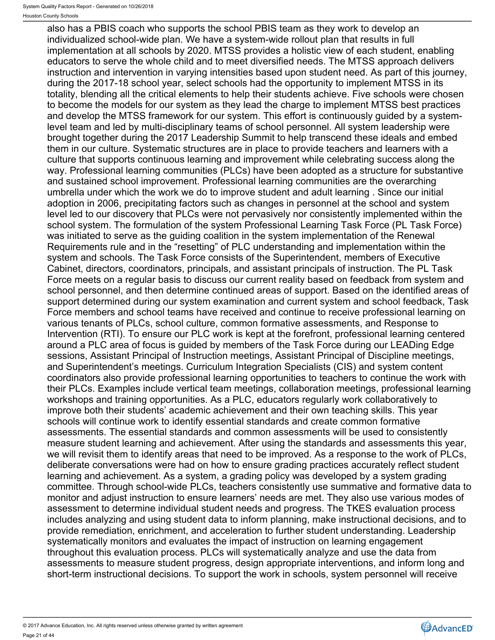also has a PBIS coach who supports the school PBIS team as they work to develop an individualized school-wide plan. We have a system-wide rollout plan that results in full implementation at all schools by 2020. MTSS provides a holistic view of each student, enabling educators to serve the whole child and to meet diversified needs. The MTSS approach delivers instruction and intervention in varying intensities based upon student need. As part of this journey, during the 2017-18 school year, select schools had the opportunity to implement MTSS in its totality, blending all the critical elements to help their students achieve. Five schools were chosen to become the models for our system as they lead the charge to implement MTSS best practices and develop the MTSS framework for our system. This effort is continuously guided by a systemlevel team and led by multi-disciplinary teams of school personnel. All system leadership were brought together during the 2017 Leadership Summit to help transcend these ideals and embed them in our culture. Systematic structures are in place to provide teachers and learners with a culture that supports continuous learning and improvement while celebrating success along the way. Professional learning communities (PLCs) have been adopted as a structure for substantive and sustained school improvement. Professional learning communities are the overarching umbrella under which the work we do to improve student and adult learning . Since our initial adoption in 2006, precipitating factors such as changes in personnel at the school and system level led to our discovery that PLCs were not pervasively nor consistently implemented within the school system. The formulation of the system Professional Learning Task Force (PL Task Force) was initiated to serve as the guiding coalition in the system implementation of the Renewal Requirements rule and in the "resetting" of PLC understanding and implementation within the system and schools. The Task Force consists of the Superintendent, members of Executive Cabinet, directors, coordinators, principals, and assistant principals of instruction. The PL Task Force meets on a regular basis to discuss our current reality based on feedback from system and school personnel, and then determine continued areas of support. Based on the identified areas of support determined during our system examination and current system and school feedback, Task Force members and school teams have received and continue to receive professional learning on various tenants of PLCs, school culture, common formative assessments, and Response to Intervention (RTI). To ensure our PLC work is kept at the forefront, professional learning centered around a PLC area of focus is guided by members of the Task Force during our LEADing Edge sessions, Assistant Principal of Instruction meetings, Assistant Principal of Discipline meetings, and Superintendent's meetings. Curriculum Integration Specialists (CIS) and system content coordinators also provide professional learning opportunities to teachers to continue the work with their PLCs. Examples include vertical team meetings, collaboration meetings, professional learning workshops and training opportunities. As a PLC, educators regularly work collaboratively to improve both their students' academic achievement and their own teaching skills. This year schools will continue work to identify essential standards and create common formative assessments. The essential standards and common assessments will be used to consistently measure student learning and achievement. After using the standards and assessments this year, we will revisit them to identify areas that need to be improved. As a response to the work of PLCs, deliberate conversations were had on how to ensure grading practices accurately reflect student learning and achievement. As a system, a grading policy was developed by a system grading committee. Through school-wide PLCs, teachers consistently use summative and formative data to monitor and adjust instruction to ensure learners' needs are met. They also use various modes of assessment to determine individual student needs and progress. The TKES evaluation process includes analyzing and using student data to inform planning, make instructional decisions, and to provide remediation, enrichment, and acceleration to further student understanding. Leadership systematically monitors and evaluates the impact of instruction on learning engagement throughout this evaluation process. PLCs will systematically analyze and use the data from assessments to measure student progress, design appropriate interventions, and inform long and short-term instructional decisions. To support the work in schools, system personnel will receive

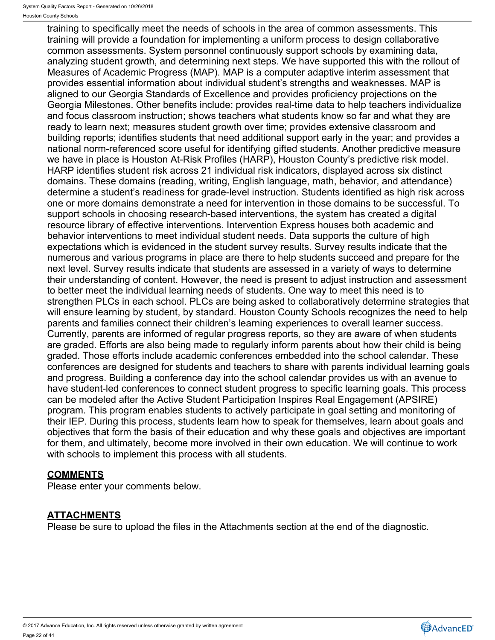training to specifically meet the needs of schools in the area of common assessments. This training will provide a foundation for implementing a uniform process to design collaborative common assessments. System personnel continuously support schools by examining data, analyzing student growth, and determining next steps. We have supported this with the rollout of Measures of Academic Progress (MAP). MAP is a computer adaptive interim assessment that provides essential information about individual student's strengths and weaknesses. MAP is aligned to our Georgia Standards of Excellence and provides proficiency projections on the Georgia Milestones. Other benefits include: provides real-time data to help teachers individualize and focus classroom instruction; shows teachers what students know so far and what they are ready to learn next; measures student growth over time; provides extensive classroom and building reports; identifies students that need additional support early in the year; and provides a national norm-referenced score useful for identifying gifted students. Another predictive measure we have in place is Houston At-Risk Profiles (HARP), Houston County's predictive risk model. HARP identifies student risk across 21 individual risk indicators, displayed across six distinct domains. These domains (reading, writing, English language, math, behavior, and attendance) determine a student's readiness for grade-level instruction. Students identified as high risk across one or more domains demonstrate a need for intervention in those domains to be successful. To support schools in choosing research-based interventions, the system has created a digital resource library of effective interventions. Intervention Express houses both academic and behavior interventions to meet individual student needs. Data supports the culture of high expectations which is evidenced in the student survey results. Survey results indicate that the numerous and various programs in place are there to help students succeed and prepare for the next level. Survey results indicate that students are assessed in a variety of ways to determine their understanding of content. However, the need is present to adjust instruction and assessment to better meet the individual learning needs of students. One way to meet this need is to strengthen PLCs in each school. PLCs are being asked to collaboratively determine strategies that will ensure learning by student, by standard. Houston County Schools recognizes the need to help parents and families connect their children's learning experiences to overall learner success. Currently, parents are informed of regular progress reports, so they are aware of when students are graded. Efforts are also being made to regularly inform parents about how their child is being graded. Those efforts include academic conferences embedded into the school calendar. These conferences are designed for students and teachers to share with parents individual learning goals and progress. Building a conference day into the school calendar provides us with an avenue to have student-led conferences to connect student progress to specific learning goals. This process can be modeled after the Active Student Participation Inspires Real Engagement (APSIRE) program. This program enables students to actively participate in goal setting and monitoring of their IEP. During this process, students learn how to speak for themselves, learn about goals and objectives that form the basis of their education and why these goals and objectives are important for them, and ultimately, become more involved in their own education. We will continue to work with schools to implement this process with all students.

# **COMMENTS**

Please enter your comments below.

# **ATTACHMENTS**

Please be sure to upload the files in the Attachments section at the end of the diagnostic.

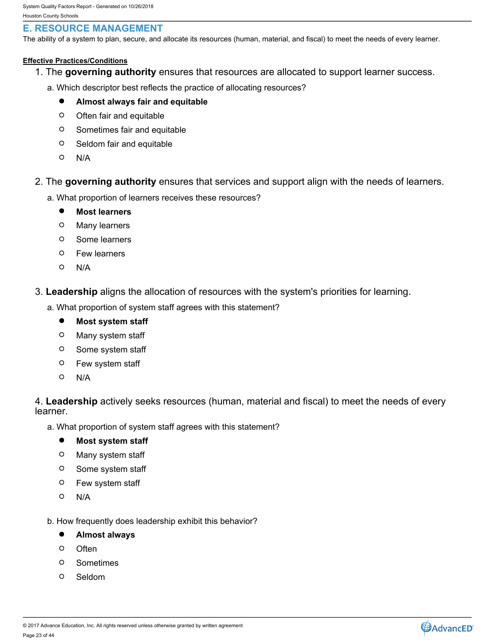# <span id="page-22-0"></span>**E. RESOURCE MANAGEMENT**

The ability of a system to plan, secure, and allocate its resources (human, material, and fiscal) to meet the needs of every learner.

### **Effective Practices/Conditions**

- 1. The **governing authority** ensures that resources are allocated to support learner success.
	- a. Which descriptor best reflects the practice of allocating resources?
		- $\bullet$ **Almost always fair and equitable**
		- $\circ$ Often fair and equitable
		- Sometimes fair and equitable
		- $\circ$ Seldom fair and equitable
		- $\circ$ N/A
- 2. The **governing authority** ensures that services and support align with the needs of learners.
	- a. What proportion of learners receives these resources?
		- $\bullet$ **Most learners**
		- $\circ$ Many learners
		- $\circ$ Some learners
		- $\circ$ Few learners
		- $\circ$ N/A
- 3. **Leadership** aligns the allocation of resources with the system's priorities for learning.
	- a. What proportion of system staff agrees with this statement?
		- $\bullet$ **Most system staff**
		- $\circ$ Many system staff
		- $\circ$ Some system staff
		- Few system staff  $\circ$
		- $\Omega$ N/A

4. **Leadership** actively seeks resources (human, material and fiscal) to meet the needs of every learner.

a. What proportion of system staff agrees with this statement?

#### $\bullet$ **Most system staff**

- Many system staff
- $\circ$ Some system staff
- $\circ$ Few system staff
- $\Omega$ N/A
- b. How frequently does leadership exhibit this behavior?
	- $\bullet$ **Almost always**
	- Often **Often Contract Contract Contract Contract Contract Contract Contract Contract Contract Contract Contract Contract Contract Contract Contract Contract Contract Contract Contract Contract Contract Contract Contract**
	- $\circ$ Sometimes
	- O. Seldom

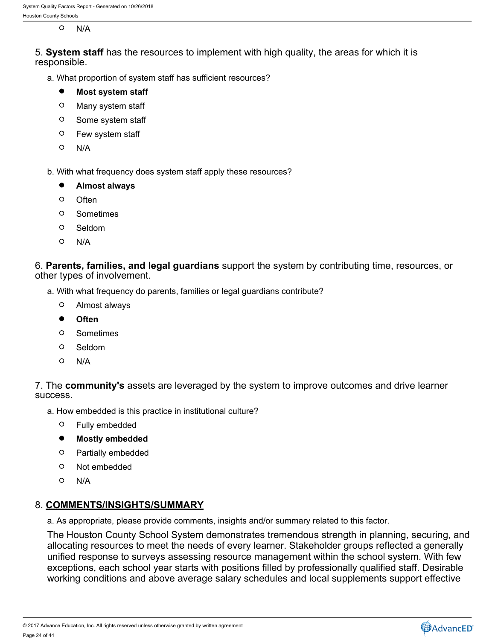#### $\circ$ N/A

5. **System staff** has the resources to implement with high quality, the areas for which it is responsible.

a. What proportion of system staff has sufficient resources?

#### $\bullet$ **Most system staff**

- $\circ$ Many system staff
- $\circ$ Some system staff
- $\circ$ Few system staff
- $\circ$ N/A
- b. With what frequency does system staff apply these resources?

#### $\bullet$ **Almost always**

- $\Omega$ Often **Often Contract Contract Contract Contract Contract Contract Contract Contract Contract Contract Contract Contract Contract Contract Contract Contract Contract Contract Contract Contract Contract Contract Contract**
- $\circ$ Sometimes
- $\circ$ Seldom
- $\Omega$ N/A

6. **Parents, families, and legal guardians** support the system by contributing time, resources, or other types of involvement.

- a. With what frequency do parents, families or legal guardians contribute?
	- $\circ$ Almost always
	- $\bullet$ **Often**
	- Sometimes  $\Omega$
	- $\Omega$ Seldom
	- $\Omega$ N/A

7. The **community's** assets are leveraged by the system to improve outcomes and drive learner success.

- a. How embedded is this practice in institutional culture?
	- $\circ$ Fully embedded
	- $\bullet$ **Mostly embedded**
	- $\circ$ Partially embedded
	- $\circ$ Not embedded
	- $\circ$ N/A

## 8. **COMMENTS/INSIGHTS/SUMMARY**

a. As appropriate, please provide comments, insights and/or summary related to this factor.

The Houston County School System demonstrates tremendous strength in planning, securing, and allocating resources to meet the needs of every learner. Stakeholder groups reflected a generally unified response to surveys assessing resource management within the school system. With few exceptions, each school year starts with positions filled by professionally qualified staff. Desirable working conditions and above average salary schedules and local supplements support effective

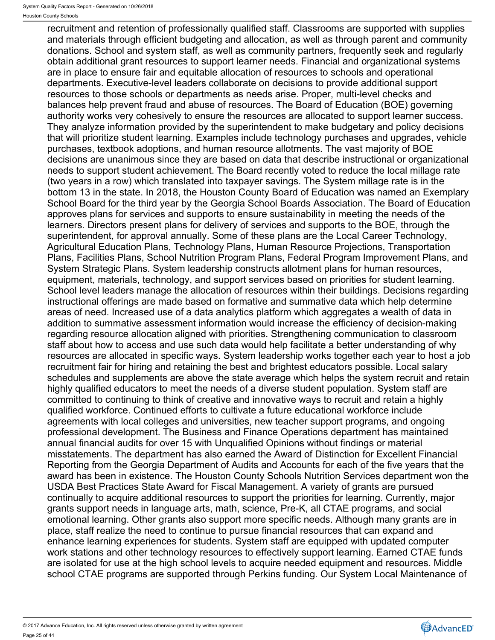recruitment and retention of professionally qualified staff. Classrooms are supported with supplies and materials through efficient budgeting and allocation, as well as through parent and community donations. School and system staff, as well as community partners, frequently seek and regularly obtain additional grant resources to support learner needs. Financial and organizational systems are in place to ensure fair and equitable allocation of resources to schools and operational departments. Executive-level leaders collaborate on decisions to provide additional support resources to those schools or departments as needs arise. Proper, multi-level checks and balances help prevent fraud and abuse of resources. The Board of Education (BOE) governing authority works very cohesively to ensure the resources are allocated to support learner success. They analyze information provided by the superintendent to make budgetary and policy decisions that will prioritize student learning. Examples include technology purchases and upgrades, vehicle purchases, textbook adoptions, and human resource allotments. The vast majority of BOE decisions are unanimous since they are based on data that describe instructional or organizational needs to support student achievement. The Board recently voted to reduce the local millage rate (two years in a row) which translated into taxpayer savings. The System millage rate is in the bottom 13 in the state. In 2018, the Houston County Board of Education was named an Exemplary School Board for the third year by the Georgia School Boards Association. The Board of Education approves plans for services and supports to ensure sustainability in meeting the needs of the learners. Directors present plans for delivery of services and supports to the BOE, through the superintendent, for approval annually. Some of these plans are the Local Career Technology, Agricultural Education Plans, Technology Plans, Human Resource Projections, Transportation Plans, Facilities Plans, School Nutrition Program Plans, Federal Program Improvement Plans, and System Strategic Plans. System leadership constructs allotment plans for human resources, equipment, materials, technology, and support services based on priorities for student learning. School level leaders manage the allocation of resources within their buildings. Decisions regarding instructional offerings are made based on formative and summative data which help determine areas of need. Increased use of a data analytics platform which aggregates a wealth of data in addition to summative assessment information would increase the efficiency of decision-making regarding resource allocation aligned with priorities. Strengthening communication to classroom staff about how to access and use such data would help facilitate a better understanding of why resources are allocated in specific ways. System leadership works together each year to host a job recruitment fair for hiring and retaining the best and brightest educators possible. Local salary schedules and supplements are above the state average which helps the system recruit and retain highly qualified educators to meet the needs of a diverse student population. System staff are committed to continuing to think of creative and innovative ways to recruit and retain a highly qualified workforce. Continued efforts to cultivate a future educational workforce include agreements with local colleges and universities, new teacher support programs, and ongoing professional development. The Business and Finance Operations department has maintained annual financial audits for over 15 with Unqualified Opinions without findings or material misstatements. The department has also earned the Award of Distinction for Excellent Financial Reporting from the Georgia Department of Audits and Accounts for each of the five years that the award has been in existence. The Houston County Schools Nutrition Services department won the USDA Best Practices State Award for Fiscal Management. A variety of grants are pursued continually to acquire additional resources to support the priorities for learning. Currently, major grants support needs in language arts, math, science, Pre-K, all CTAE programs, and social emotional learning. Other grants also support more specific needs. Although many grants are in place, staff realize the need to continue to pursue financial resources that can expand and enhance learning experiences for students. System staff are equipped with updated computer work stations and other technology resources to effectively support learning. Earned CTAE funds are isolated for use at the high school levels to acquire needed equipment and resources. Middle school CTAE programs are supported through Perkins funding. Our System Local Maintenance of

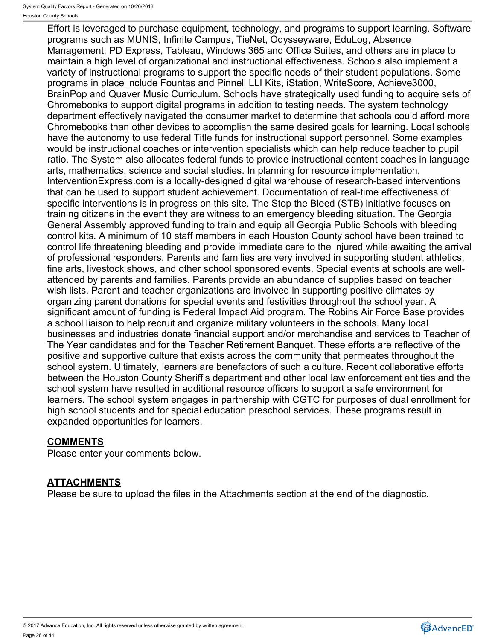Effort is leveraged to purchase equipment, technology, and programs to support learning. Software programs such as MUNIS, Infinite Campus, TieNet, Odysseyware, EduLog, Absence Management, PD Express, Tableau, Windows 365 and Office Suites, and others are in place to maintain a high level of organizational and instructional effectiveness. Schools also implement a variety of instructional programs to support the specific needs of their student populations. Some programs in place include Fountas and Pinnell LLI Kits, iStation, WriteScore, Achieve3000, BrainPop and Quaver Music Curriculum. Schools have strategically used funding to acquire sets of Chromebooks to support digital programs in addition to testing needs. The system technology department effectively navigated the consumer market to determine that schools could afford more Chromebooks than other devices to accomplish the same desired goals for learning. Local schools have the autonomy to use federal Title funds for instructional support personnel. Some examples would be instructional coaches or intervention specialists which can help reduce teacher to pupil ratio. The System also allocates federal funds to provide instructional content coaches in language arts, mathematics, science and social studies. In planning for resource implementation, InterventionExpress.com is a locally-designed digital warehouse of research-based interventions that can be used to support student achievement. Documentation of real-time effectiveness of specific interventions is in progress on this site. The Stop the Bleed (STB) initiative focuses on training citizens in the event they are witness to an emergency bleeding situation. The Georgia General Assembly approved funding to train and equip all Georgia Public Schools with bleeding control kits. A minimum of 10 staff members in each Houston County school have been trained to control life threatening bleeding and provide immediate care to the injured while awaiting the arrival of professional responders. Parents and families are very involved in supporting student athletics, fine arts, livestock shows, and other school sponsored events. Special events at schools are wellattended by parents and families. Parents provide an abundance of supplies based on teacher wish lists. Parent and teacher organizations are involved in supporting positive climates by organizing parent donations for special events and festivities throughout the school year. A significant amount of funding is Federal Impact Aid program. The Robins Air Force Base provides a school liaison to help recruit and organize military volunteers in the schools. Many local businesses and industries donate financial support and/or merchandise and services to Teacher of The Year candidates and for the Teacher Retirement Banquet. These efforts are reflective of the positive and supportive culture that exists across the community that permeates throughout the school system. Ultimately, learners are benefactors of such a culture. Recent collaborative efforts between the Houston County Sheriff's department and other local law enforcement entities and the school system have resulted in additional resource officers to support a safe environment for learners. The school system engages in partnership with CGTC for purposes of dual enrollment for high school students and for special education preschool services. These programs result in expanded opportunities for learners.

# **COMMENTS**

Please enter your comments below.

# **ATTACHMENTS**

Please be sure to upload the files in the Attachments section at the end of the diagnostic.

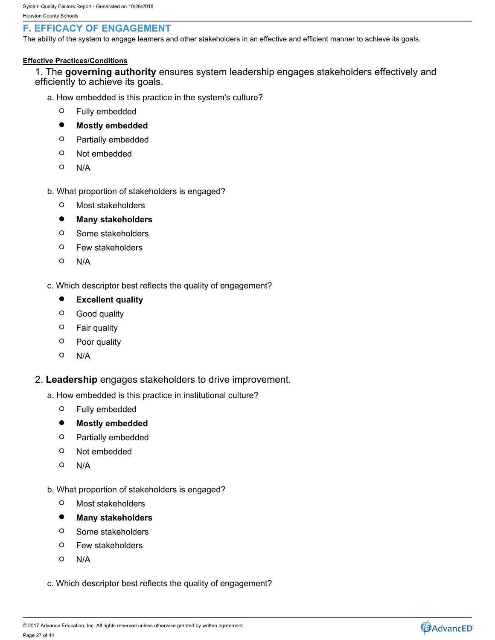# <span id="page-26-0"></span>**F. EFFICACY OF ENGAGEMENT**

The ability of the system to engage learners and other stakeholders in an effective and efficient manner to achieve its goals.

### **Effective Practices/Conditions**

1. The **governing authority** ensures system leadership engages stakeholders effectively and efficiently to achieve its goals.

- a. How embedded is this practice in the system's culture?
	- Fully embedded
	- $\bullet$ **Mostly embedded**
	- $\circ$ Partially embedded
	- $\circ$ Not embedded
	- $\circ$ N/A
- b. What proportion of stakeholders is engaged?
	- $\circ$ Most stakeholders
	- $\bullet$ **Many stakeholders**
	- $\circ$ Some stakeholders
	- $\circ$ Few stakeholders
	- $\circ$ N/A
- c. Which descriptor best reflects the quality of engagement?
	- $\bullet$ **Excellent quality**
	- $\circ$ Good quality
	- $\circ$ Fair quality
	- $\circ$ Poor quality
	- $\circ$ N/A
- 2. **Leadership** engages stakeholders to drive improvement.
	- a. How embedded is this practice in institutional culture?
		- $\circ$ Fully embedded
		- $\bullet$ **Mostly embedded**
		- $\circ$ Partially embedded
		- $\circ$ Not embedded
		- $\circ$ N/A
	- b. What proportion of stakeholders is engaged?
		- $\circ$ Most stakeholders
		- $\bullet$ **Many stakeholders**
		- $\circ$ Some stakeholders
		- $\circ$ Few stakeholders
		- $\circ$ N/A
	- c. Which descriptor best reflects the quality of engagement?

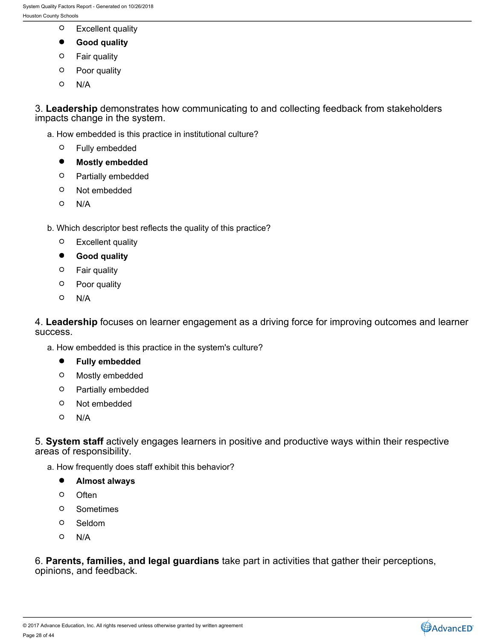- $\circ$ Excellent quality
- $\bullet$ **Good quality**
- $\circ$ Fair quality
- $\circ$ Poor quality
- $\circ$ N/A

3. **Leadership** demonstrates how communicating to and collecting feedback from stakeholders impacts change in the system.

- a. How embedded is this practice in institutional culture?
	- $\circ$ Fully embedded
	- $\bullet$ **Mostly embedded**
	- $\circ$ Partially embedded
	- $\circ$ Not embedded
	- $\circ$ N/A
- b. Which descriptor best reflects the quality of this practice?
	- $\circ$ Excellent quality
	- $\bullet$ **Good quality**
	- $\circ$ Fair quality
	- $\circ$ Poor quality
	- $\circ$ N/A

4. **Leadership** focuses on learner engagement as a driving force for improving outcomes and learner success.

- a. How embedded is this practice in the system's culture?
	- $\bullet$ **Fully embedded**
	- $\circ$ Mostly embedded
	- $\circ$ Partially embedded
	- $\circ$ Not embedded
	- $\circ$ N/A

5. **System staff** actively engages learners in positive and productive ways within their respective areas of responsibility.

- a. How frequently does staff exhibit this behavior?
	- $\bullet$ **Almost always**
	- $\circ$ Often **Often Contract Contract Contract Contract Contract Contract Contract Contract Contract Contract Contract Contract Contract Contract Contract Contract Contract Contract Contract Contract Contract Contract Contract**
	- $\circ$ Sometimes
	- $\circ$ Seldom
	- $\circ$ N/A

6. **Parents, families, and legal guardians** take part in activities that gather their perceptions, opinions, and feedback.

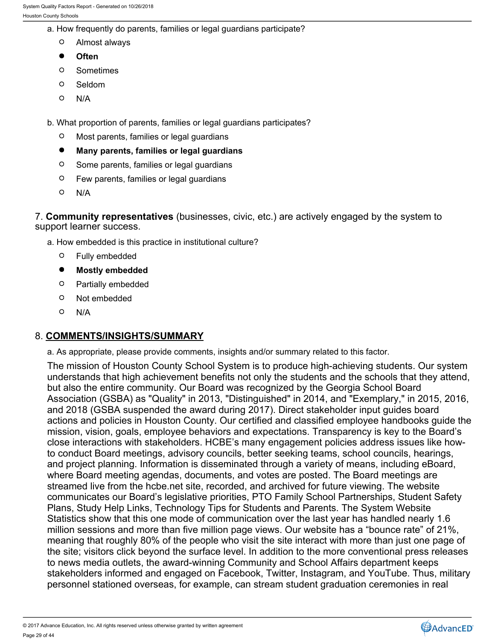- a. How frequently do parents, families or legal guardians participate?
	- $\circ$ Almost always
	- $\bullet$ **Often**
	- $\circ$ Sometimes
	- $\circ$ Seldom
	- $\circ$ N/A
- b. What proportion of parents, families or legal guardians participates?
	- $\circ$ Most parents, families or legal guardians
	- $\bullet$ **Many parents, families or legal guardians**
	- $\circ$ Some parents, families or legal guardians
	- $\circ$ Few parents, families or legal guardians
	- $\circ$ N/A

7. **Community representatives** (businesses, civic, etc.) are actively engaged by the system to support learner success.

- a. How embedded is this practice in institutional culture?
	- $\circ$ Fully embedded
	- $\bullet$ **Mostly embedded**
	- $\circ$ Partially embedded
	- $\circ$ Not embedded
	- $\circ$ N/A

## 8. **COMMENTS/INSIGHTS/SUMMARY**

a. As appropriate, please provide comments, insights and/or summary related to this factor.

The mission of Houston County School System is to produce high-achieving students. Our system understands that high achievement benefits not only the students and the schools that they attend, but also the entire community. Our Board was recognized by the Georgia School Board Association (GSBA) as "Quality" in 2013, "Distinguished" in 2014, and "Exemplary," in 2015, 2016, and 2018 (GSBA suspended the award during 2017). Direct stakeholder input guides board actions and policies in Houston County. Our certified and classified employee handbooks guide the mission, vision, goals, employee behaviors and expectations. Transparency is key to the Board's close interactions with stakeholders. HCBE's many engagement policies address issues like howto conduct Board meetings, advisory councils, better seeking teams, school councils, hearings, and project planning. Information is disseminated through a variety of means, including eBoard, where Board meeting agendas, documents, and votes are posted. The Board meetings are streamed live from the hcbe.net site, recorded, and archived for future viewing. The website communicates our Board's legislative priorities, PTO Family School Partnerships, Student Safety Plans, Study Help Links, Technology Tips for Students and Parents. The System Website Statistics show that this one mode of communication over the last year has handled nearly 1.6 million sessions and more than five million page views. Our website has a "bounce rate" of 21%, meaning that roughly 80% of the people who visit the site interact with more than just one page of the site; visitors click beyond the surface level. In addition to the more conventional press releases to news media outlets, the award-winning Community and School Affairs department keeps stakeholders informed and engaged on Facebook, Twitter, Instagram, and YouTube. Thus, military personnel stationed overseas, for example, can stream student graduation ceremonies in real



<sup>© 2017</sup> Advance Education, Inc. All rights reserved unless otherwise granted by written agreement Page 29 of 44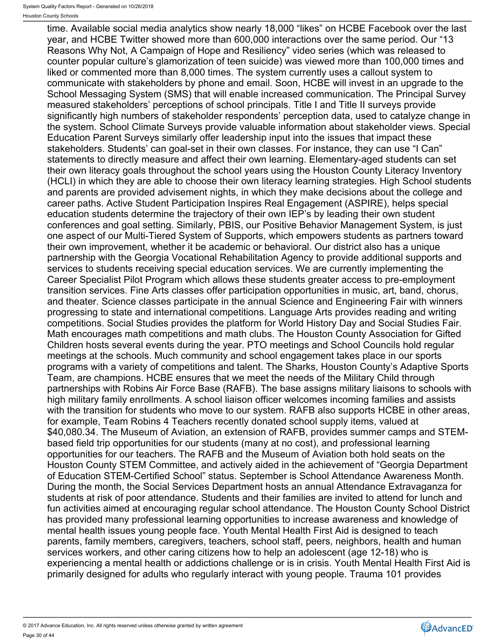time. Available social media analytics show nearly 18,000 "likes" on HCBE Facebook over the last year, and HCBE Twitter showed more than 600,000 interactions over the same period. Our "13 Reasons Why Not, A Campaign of Hope and Resiliency" video series (which was released to counter popular culture's glamorization of teen suicide) was viewed more than 100,000 times and liked or commented more than 8,000 times. The system currently uses a callout system to communicate with stakeholders by phone and email. Soon, HCBE will invest in an upgrade to the School Messaging System (SMS) that will enable increased communication. The Principal Survey measured stakeholders' perceptions of school principals. Title I and Title II surveys provide significantly high numbers of stakeholder respondents' perception data, used to catalyze change in the system. School Climate Surveys provide valuable information about stakeholder views. Special Education Parent Surveys similarly offer leadership input into the issues that impact these stakeholders. Students' can goal-set in their own classes. For instance, they can use "I Can" statements to directly measure and affect their own learning. Elementary-aged students can set their own literacy goals throughout the school years using the Houston County Literacy Inventory (HCLI) in which they are able to choose their own literacy learning strategies. High School students and parents are provided advisement nights, in which they make decisions about the college and career paths. Active Student Participation Inspires Real Engagement (ASPIRE), helps special education students determine the trajectory of their own IEP's by leading their own student conferences and goal setting. Similarly, PBIS, our Positive Behavior Management System, is just one aspect of our Multi-Tiered System of Supports, which empowers students as partners toward their own improvement, whether it be academic or behavioral. Our district also has a unique partnership with the Georgia Vocational Rehabilitation Agency to provide additional supports and services to students receiving special education services. We are currently implementing the Career Specialist Pilot Program which allows these students greater access to pre-employment transition services. Fine Arts classes offer participation opportunities in music, art, band, chorus, and theater. Science classes participate in the annual Science and Engineering Fair with winners progressing to state and international competitions. Language Arts provides reading and writing competitions. Social Studies provides the platform for World History Day and Social Studies Fair. Math encourages math competitions and math clubs. The Houston County Association for Gifted Children hosts several events during the year. PTO meetings and School Councils hold regular meetings at the schools. Much community and school engagement takes place in our sports programs with a variety of competitions and talent. The Sharks, Houston County's Adaptive Sports Team, are champions. HCBE ensures that we meet the needs of the Military Child through partnerships with Robins Air Force Base (RAFB). The base assigns military liaisons to schools with high military family enrollments. A school liaison officer welcomes incoming families and assists with the transition for students who move to our system. RAFB also supports HCBE in other areas, for example, Team Robins 4 Teachers recently donated school supply items, valued at \$40,080.34. The Museum of Aviation, an extension of RAFB, provides summer camps and STEMbased field trip opportunities for our students (many at no cost), and professional learning opportunities for our teachers. The RAFB and the Museum of Aviation both hold seats on the Houston County STEM Committee, and actively aided in the achievement of "Georgia Department of Education STEM-Certified School" status. September is School Attendance Awareness Month. During the month, the Social Services Department hosts an annual Attendance Extravaganza for students at risk of poor attendance. Students and their families are invited to attend for lunch and fun activities aimed at encouraging regular school attendance. The Houston County School District has provided many professional learning opportunities to increase awareness and knowledge of mental health issues young people face. Youth Mental Health First Aid is designed to teach parents, family members, caregivers, teachers, school staff, peers, neighbors, health and human services workers, and other caring citizens how to help an adolescent (age 12-18) who is experiencing a mental health or addictions challenge or is in crisis. Youth Mental Health First Aid is primarily designed for adults who regularly interact with young people. Trauma 101 provides

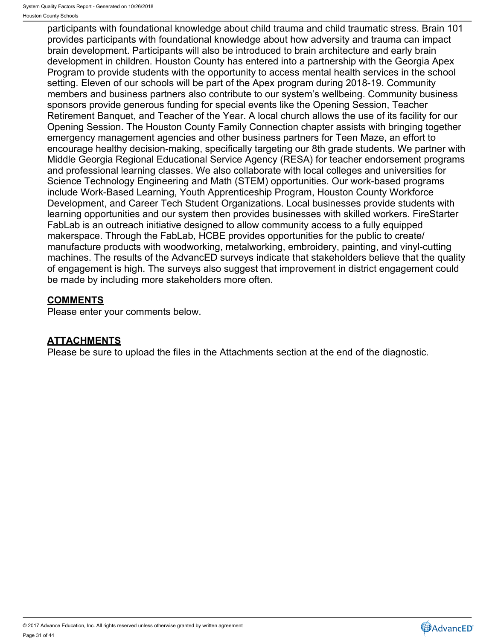participants with foundational knowledge about child trauma and child traumatic stress. Brain 101 provides participants with foundational knowledge about how adversity and trauma can impact brain development. Participants will also be introduced to brain architecture and early brain development in children. Houston County has entered into a partnership with the Georgia Apex Program to provide students with the opportunity to access mental health services in the school setting. Eleven of our schools will be part of the Apex program during 2018-19. Community members and business partners also contribute to our system's wellbeing. Community business sponsors provide generous funding for special events like the Opening Session, Teacher Retirement Banquet, and Teacher of the Year. A local church allows the use of its facility for our Opening Session. The Houston County Family Connection chapter assists with bringing together emergency management agencies and other business partners for Teen Maze, an effort to encourage healthy decision-making, specifically targeting our 8th grade students. We partner with Middle Georgia Regional Educational Service Agency (RESA) for teacher endorsement programs and professional learning classes. We also collaborate with local colleges and universities for Science Technology Engineering and Math (STEM) opportunities. Our work-based programs include Work-Based Learning, Youth Apprenticeship Program, Houston County Workforce Development, and Career Tech Student Organizations. Local businesses provide students with learning opportunities and our system then provides businesses with skilled workers. FireStarter FabLab is an outreach initiative designed to allow community access to a fully equipped makerspace. Through the FabLab, HCBE provides opportunities for the public to create/ manufacture products with woodworking, metalworking, embroidery, painting, and vinyl-cutting machines. The results of the AdvancED surveys indicate that stakeholders believe that the quality of engagement is high. The surveys also suggest that improvement in district engagement could be made by including more stakeholders more often.

# **COMMENTS**

Please enter your comments below.

# **ATTACHMENTS**

Please be sure to upload the files in the Attachments section at the end of the diagnostic.

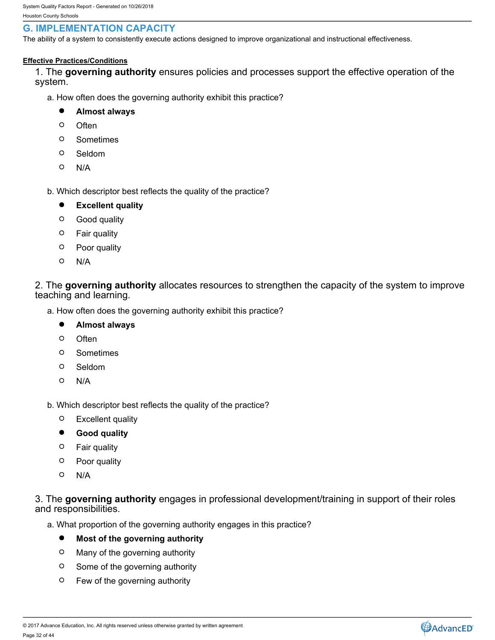# <span id="page-31-0"></span>**G. IMPLEMENTATION CAPACITY**

The ability of a system to consistently execute actions designed to improve organizational and instructional effectiveness.

### **Effective Practices/Conditions**

1. The **governing authority** ensures policies and processes support the effective operation of the system.

- a. How often does the governing authority exhibit this practice?
	- $\bullet$ **Almost always**
	- $\circ$ Often **Often Contract Contract Contract Contract Contract Contract Contract Contract Contract Contract Contract Contract Contract Contract Contract Contract Contract Contract Contract Contract Contract Contract Contract**
	- $\circ$ Sometimes
	- $\circ$ Seldom
	- $\circ$ N/A
- b. Which descriptor best reflects the quality of the practice?
	- $\bullet$ **Excellent quality**
	- $\circ$ Good quality
	- $\circ$ Fair quality
	- $\circ$ Poor quality
	- $\circ$ N/A

2. The **governing authority** allocates resources to strengthen the capacity of the system to improve teaching and learning.

- a. How often does the governing authority exhibit this practice?
	- $\bullet$ **Almost always**
	- $\circ$ Often **Often Contract Contract Contract Contract Contract Contract Contract Contract Contract Contract Contract Contract Contract Contract Contract Contract Contract Contract Contract Contract Contract Contract Contract**
	- $\circ$ Sometimes
	- $\circ$ Seldom
	- $\circ$ N/A
- b. Which descriptor best reflects the quality of the practice?
	- $\circ$ Excellent quality
	- $\bullet$ **Good quality**
	- $\circ$ Fair quality
	- $\circ$ Poor quality
	- $\Omega$ N/A

## 3. The **governing authority** engages in professional development/training in support of their roles and responsibilities.

- a. What proportion of the governing authority engages in this practice?
	- $\bullet$ **Most of the governing authority**
	- $\circ$ Many of the governing authority
	- $\circ$ Some of the governing authority
	- $\circ$ Few of the governing authority

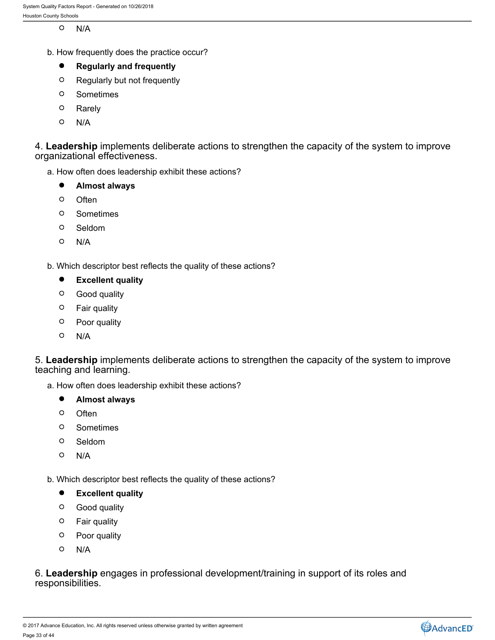$\circ$ N/A

b. How frequently does the practice occur?

#### $\bullet$ **Regularly and frequently**

- $\circ$ Regularly but not frequently
- $\circ$ Sometimes
- $\circ$ Rarely
- $\circ$ N/A

4. **Leadership** implements deliberate actions to strengthen the capacity of the system to improve organizational effectiveness.

a. How often does leadership exhibit these actions?

- $\bullet$ **Almost always**
- $\circ$ Often **Often Contract Contract Contract Contract Contract Contract Contract Contract Contract Contract Contract Contract Contract Contract Contract Contract Contract Contract Contract Contract Contract Contract Contract**
- $\circ$ Sometimes
- $\circ$ Seldom
- $\circ$ N/A

b. Which descriptor best reflects the quality of these actions?

- $\bullet$ **Excellent quality**
- $\circ$ Good quality
- Fair quality
- $\circ$ Poor quality
- $\circ$ N/A

5. **Leadership** implements deliberate actions to strengthen the capacity of the system to improve teaching and learning.

a. How often does leadership exhibit these actions?

- $\bullet$ **Almost always**
- $\circ$ Often **Often Contract Contract Contract Contract Contract Contract Contract Contract Contract Contract Contract Contract Contract Contract Contract Contract Contract Contract Contract Contract Contract Contract Contract**
- $\circ$ Sometimes
- $\circ$ Seldom
- $\circ$ N/A

b. Which descriptor best reflects the quality of these actions?

- $\bullet$ **Excellent quality**
- $\circ$ Good quality
- $\circ$ Fair quality
- $\circ$ Poor quality
- $\circ$ N/A

6. **Leadership** engages in professional development/training in support of its roles and responsibilities.

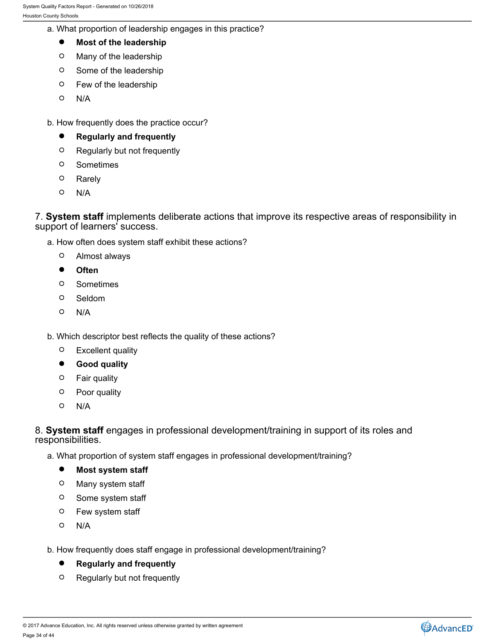- a. What proportion of leadership engages in this practice?
	- $\bullet$ **Most of the leadership**
	- $\circ$ Many of the leadership
	- $\circ$ Some of the leadership
	- $\circ$ Few of the leadership
	- $\circ$ N/A
- b. How frequently does the practice occur?
	- $\bullet$ **Regularly and frequently**
	- $\circ$ Regularly but not frequently
	- $\circ$ Sometimes
	- $\circ$ Rarely
	- $\circ$ N/A

7. **System staff** implements deliberate actions that improve its respective areas of responsibility in support of learners' success.

- a. How often does system staff exhibit these actions?
	- $\circ$ Almost always
	- $\bullet$ **Often**
	- $\circ$ Sometimes
	- $\circ$ Seldom
	- $\circ$ N/A
- b. Which descriptor best reflects the quality of these actions?
	- Excellent quality  $\circ$
	- $\bullet$ **Good quality**
	- Fair quality
	- $\circ$ Poor quality
	- $\circ$ N/A

8. **System staff** engages in professional development/training in support of its roles and responsibilities.

- a. What proportion of system staff engages in professional development/training?
	- $\bullet$ **Most system staff**
	- $\circ$ Many system staff
	- $\circ$ Some system staff
	- $\circ$ Few system staff
	- $\circ$ N/A
- b. How frequently does staff engage in professional development/training?
	- $\bullet$ **Regularly and frequently**
	- $\circ$ Regularly but not frequently



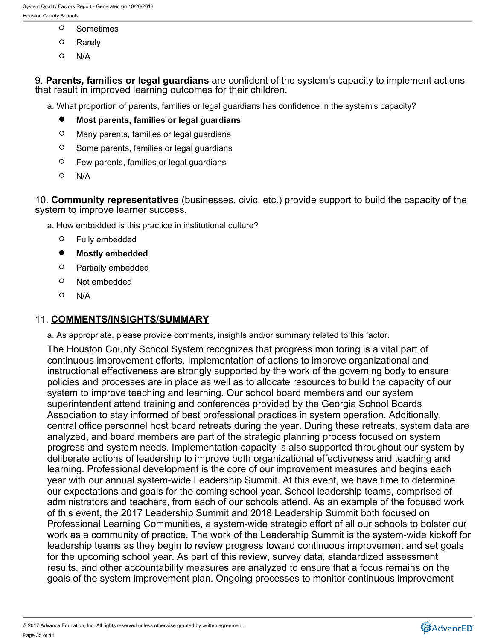- $\circ$ Sometimes
- $\circ$ Rarely
- $\circ$ N/A

9. **Parents, families or legal guardians** are confident of the system's capacity to implement actions that result in improved learning outcomes for their children.

- a. What proportion of parents, families or legal guardians has confidence in the system's capacity?
	- $\bullet$ **Most parents, families or legal guardians**
	- $\circ$ Many parents, families or legal guardians
	- $\circ$ Some parents, families or legal guardians
	- $\circ$ Few parents, families or legal guardians
	- $\circ$ N/A

10. **Community representatives** (businesses, civic, etc.) provide support to build the capacity of the system to improve learner success.

a. How embedded is this practice in institutional culture?

- Fully embedded  $\circ$
- $\bullet$ **Mostly embedded**
- $\circ$ Partially embedded
- $\circ$ Not embedded
- $\circ$ N/A

## 11. **COMMENTS/INSIGHTS/SUMMARY**

a. As appropriate, please provide comments, insights and/or summary related to this factor.

The Houston County School System recognizes that progress monitoring is a vital part of continuous improvement efforts. Implementation of actions to improve organizational and instructional effectiveness are strongly supported by the work of the governing body to ensure policies and processes are in place as well as to allocate resources to build the capacity of our system to improve teaching and learning. Our school board members and our system superintendent attend training and conferences provided by the Georgia School Boards Association to stay informed of best professional practices in system operation. Additionally, central office personnel host board retreats during the year. During these retreats, system data are analyzed, and board members are part of the strategic planning process focused on system progress and system needs. Implementation capacity is also supported throughout our system by deliberate actions of leadership to improve both organizational effectiveness and teaching and learning. Professional development is the core of our improvement measures and begins each year with our annual system-wide Leadership Summit. At this event, we have time to determine our expectations and goals for the coming school year. School leadership teams, comprised of administrators and teachers, from each of our schools attend. As an example of the focused work of this event, the 2017 Leadership Summit and 2018 Leadership Summit both focused on Professional Learning Communities, a system-wide strategic effort of all our schools to bolster our work as a community of practice. The work of the Leadership Summit is the system-wide kickoff for leadership teams as they begin to review progress toward continuous improvement and set goals for the upcoming school year. As part of this review, survey data, standardized assessment results, and other accountability measures are analyzed to ensure that a focus remains on the goals of the system improvement plan. Ongoing processes to monitor continuous improvement

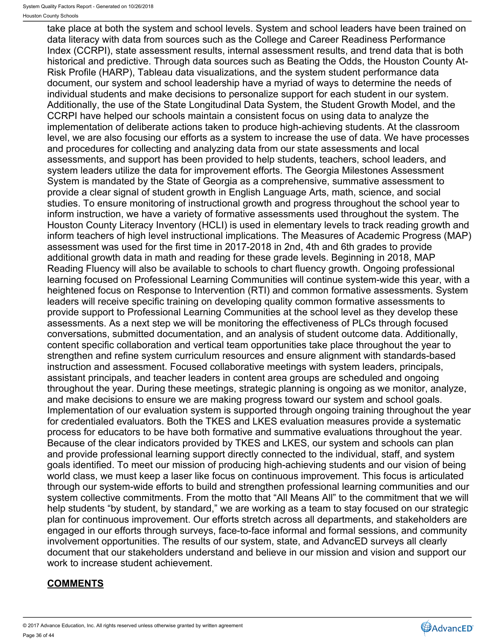take place at both the system and school levels. System and school leaders have been trained on data literacy with data from sources such as the College and Career Readiness Performance Index (CCRPI), state assessment results, internal assessment results, and trend data that is both historical and predictive. Through data sources such as Beating the Odds, the Houston County At-Risk Profile (HARP), Tableau data visualizations, and the system student performance data document, our system and school leadership have a myriad of ways to determine the needs of individual students and make decisions to personalize support for each student in our system. Additionally, the use of the State Longitudinal Data System, the Student Growth Model, and the CCRPI have helped our schools maintain a consistent focus on using data to analyze the implementation of deliberate actions taken to produce high-achieving students. At the classroom level, we are also focusing our efforts as a system to increase the use of data. We have processes and procedures for collecting and analyzing data from our state assessments and local assessments, and support has been provided to help students, teachers, school leaders, and system leaders utilize the data for improvement efforts. The Georgia Milestones Assessment System is mandated by the State of Georgia as a comprehensive, summative assessment to provide a clear signal of student growth in English Language Arts, math, science, and social studies. To ensure monitoring of instructional growth and progress throughout the school year to inform instruction, we have a variety of formative assessments used throughout the system. The Houston County Literacy Inventory (HCLI) is used in elementary levels to track reading growth and inform teachers of high level instructional implications. The Measures of Academic Progress (MAP) assessment was used for the first time in 2017-2018 in 2nd, 4th and 6th grades to provide additional growth data in math and reading for these grade levels. Beginning in 2018, MAP Reading Fluency will also be available to schools to chart fluency growth. Ongoing professional learning focused on Professional Learning Communities will continue system-wide this year, with a heightened focus on Response to Intervention (RTI) and common formative assessments. System leaders will receive specific training on developing quality common formative assessments to provide support to Professional Learning Communities at the school level as they develop these assessments. As a next step we will be monitoring the effectiveness of PLCs through focused conversations, submitted documentation, and an analysis of student outcome data. Additionally, content specific collaboration and vertical team opportunities take place throughout the year to strengthen and refine system curriculum resources and ensure alignment with standards-based instruction and assessment. Focused collaborative meetings with system leaders, principals, assistant principals, and teacher leaders in content area groups are scheduled and ongoing throughout the year. During these meetings, strategic planning is ongoing as we monitor, analyze, and make decisions to ensure we are making progress toward our system and school goals. Implementation of our evaluation system is supported through ongoing training throughout the year for credentialed evaluators. Both the TKES and LKES evaluation measures provide a systematic process for educators to be have both formative and summative evaluations throughout the year. Because of the clear indicators provided by TKES and LKES, our system and schools can plan and provide professional learning support directly connected to the individual, staff, and system goals identified. To meet our mission of producing high-achieving students and our vision of being world class, we must keep a laser like focus on continuous improvement. This focus is articulated through our system-wide efforts to build and strengthen professional learning communities and our system collective commitments. From the motto that "All Means All" to the commitment that we will help students "by student, by standard," we are working as a team to stay focused on our strategic plan for continuous improvement. Our efforts stretch across all departments, and stakeholders are engaged in our efforts through surveys, face-to-face informal and formal sessions, and community involvement opportunities. The results of our system, state, and AdvancED surveys all clearly document that our stakeholders understand and believe in our mission and vision and support our work to increase student achievement.

# **COMMENTS**

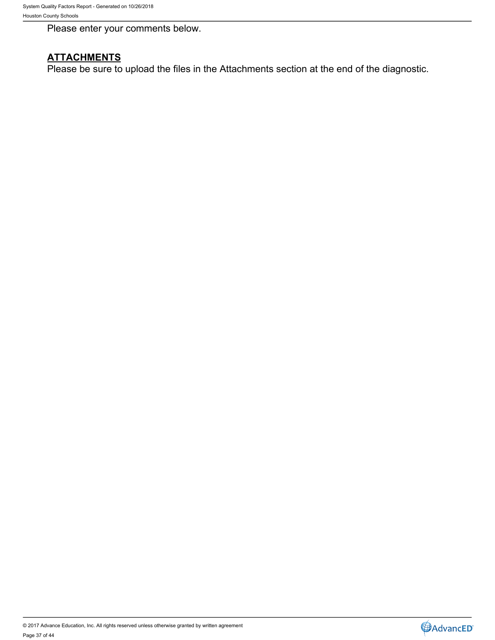Please enter your comments below.

# **ATTACHMENTS**

Please be sure to upload the files in the Attachments section at the end of the diagnostic.

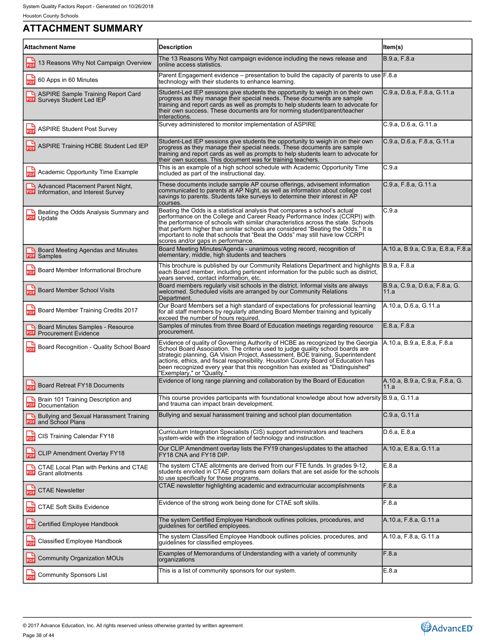# <span id="page-37-0"></span>**ATTACHMENT SUMMARY**

| <b>Attachment Name</b><br><b>Description</b><br>ltem(s)<br>B.9.a, F.8.a<br>The 13 Reasons Why Not campaign evidence including the news release and<br>13 Reasons Why Not Campaign Overview<br>PDF<br>online access statistics.<br>Parent Engagement evidence - presentation to build the capacity of parents to use [F.8.a<br><b>PDF</b> 60 Apps in 60 Minutes<br>technology with their students to enhance learning.<br>Student-Led IEP sessions give students the opportunity to weigh in on their own<br>C.9.a, D.6.a, F.8.a, G.11.a<br>ASPIRE Sample Training Report Card<br>progress as they manage their special needs. These documents are sample<br><b>PDF</b> Surveys Student Led IEP<br>training and report cards as well as prompts to help students learn to advocate for<br>their own success. These documents are for norming student/parent/teacher<br>interactions.<br>Survey administered to monitor implementation of ASPIRE<br>C.9.a, D.6.a, G.11.a<br><b>ASPIRE Student Post Survey</b><br>C.9.a, D.6.a, F.8.a, G.11.a<br>Student-Led IEP sessions give students the opportunity to weigh in on their own<br>ASPIRE Training HCBE Student Led IEP<br>progress as they manage their special needs. These documents are sample<br>training and report cards as well as prompts to help students learn to advocate for<br>their own success. This document was for training teachers.<br>This is an example of a high school schedule with Academic Opportunity Time<br>C.9.a<br>븞<br>Academic Opportunity Time Example<br>included as part of the instructional day.<br>C.9.a, F.8.a, G.11.a<br>These documents include sample AP course offerings, advisement information<br>Advanced Placement Parent Night,<br>communicated to parents at AP Night, as well as information about college cost<br><b>PDF</b> Information, and Interest Survey<br>savings to parents. Students take surveys to determine their interest in AP<br>courses.<br>C.9.a<br>Beating the Odds is a statistical analysis that compares a school's actual<br>Beating the Odds Analysis Summary and<br>performance on the College and Career Ready Performance Index (CCRPI) with<br><b>PDF</b> Update<br>the performance of schools with similar characteristics across the state. Schools<br>that perform higher than similar schools are considered "Beating the Odds." It is<br>important to note that schools that "Beat the Odds" may still have low CCRPI<br>scores and/or gaps in performance.<br>A.10.a, B.9.a, C.9.a, E.8.a, F.8.a<br>Board Meeting Minutes/Agenda - unanimous voting record, recognition of<br>Board Meeting Agendas and Minutes<br>elementary, middle, high students and teachers<br>PDF<br>Samples<br>This brochure is published by our Community Relations Department and highlights<br>B.9.a, F.8.a<br>닖<br>Board Member Informational Brochure<br>each Board member, including pertinent information for the public such as district,<br>vears served, contact information, etc.<br>Board members regularly visit schools in the district. Informal visits are always<br>B.9.a, C.9.a, D.6.a, F.8.a, G.<br><b>Board Member School Visits</b><br><b>PDF</b><br>welcomed. Scheduled visits are arranged by our Community Relations<br>11.a<br>Department.<br>A.10.a, D.6.a, G.11.a<br>Our Board Members set a high standard of expectations for professional learning<br>Board Member Training Credits 2017<br>for all staff members by regularly attending Board Member training and typically<br>exceed the number of hours required.<br>E.8.a, F.8.a<br>Samples of minutes from three Board of Education meetings regarding resource<br>Board Minutes Samples - Resource<br>procurement.<br><b>PDF</b><br><b>Procurement Evidence</b><br>Evidence of quality of Governing Authority of HCBE as recognized by the Georgia<br>A.10.a, B.9.a, E.8.a, F.8.a<br>Board Recognition - Quality School Board<br>School Board Association. The criteria used to judge quality school boards are<br>strategic planning, GA Vision Project, Assessment, BOE training, Superintendent<br>actions, ethics, and fiscal responsibility. Houston County Board of Education has<br>been recognized every year that this recognition has existed as "Distinguished"<br>"Exemplary," or "Quality."<br>A.10.a, B.9.a, C.9.a, F.8.a, G.<br>Evidence of long range planning and collaboration by the Board of Education<br><b>Board Retreat FY18 Documents</b><br>11.a<br>This course provides participants with foundational knowledge about how adversity B.9.a, G.11.a<br>Brain 101 Training Description and<br>and trauma can impact brain development.<br><b>PDF</b> Documentation<br>Bullying and sexual harassment training and school plan documentation<br>C.9.a, G.11.a<br><b>Bullying and Sexual Harassment Training</b><br><b>PDF</b> and School Plans<br>Curriculum Integration Specialists (CIS) support administrators and teachers<br>D.6.a, E.8.a<br>CIS Training Calendar FY18<br>PDF<br>system-wide with the integration of technology and instruction.<br>Our CLIP Amendment overlay lists the FY19 changes/updates to the attached<br>A.10.a, E.8.a, G.11.a<br><b>PDF</b> CLIP Amendment Overlay FY18<br>FY18 CNA and FY18 DIP.<br>E.8.a<br>The system CTAE allotments are derived from our FTE funds. In grades 9-12,<br><b>A CTAE Local Plan with Perkins and CTAE</b> |                                                                                    |  |
|--------------------------------------------------------------------------------------------------------------------------------------------------------------------------------------------------------------------------------------------------------------------------------------------------------------------------------------------------------------------------------------------------------------------------------------------------------------------------------------------------------------------------------------------------------------------------------------------------------------------------------------------------------------------------------------------------------------------------------------------------------------------------------------------------------------------------------------------------------------------------------------------------------------------------------------------------------------------------------------------------------------------------------------------------------------------------------------------------------------------------------------------------------------------------------------------------------------------------------------------------------------------------------------------------------------------------------------------------------------------------------------------------------------------------------------------------------------------------------------------------------------------------------------------------------------------------------------------------------------------------------------------------------------------------------------------------------------------------------------------------------------------------------------------------------------------------------------------------------------------------------------------------------------------------------------------------------------------------------------------------------------------------------------------------------------------------------------------------------------------------------------------------------------------------------------------------------------------------------------------------------------------------------------------------------------------------------------------------------------------------------------------------------------------------------------------------------------------------------------------------------------------------------------------------------------------------------------------------------------------------------------------------------------------------------------------------------------------------------------------------------------------------------------------------------------------------------------------------------------------------------------------------------------------------------------------------------------------------------------------------------------------------------------------------------------------------------------------------------------------------------------------------------------------------------------------------------------------------------------------------------------------------------------------------------------------------------------------------------------------------------------------------------------------------------------------------------------------------------------------------------------------------------------------------------------------------------------------------------------------------------------------------------------------------------------------------------------------------------------------------------------------------------------------------------------------------------------------------------------------------------------------------------------------------------------------------------------------------------------------------------------------------------------------------------------------------------------------------------------------------------------------------------------------------------------------------------------------------------------------------------------------------------------------------------------------------------------------------------------------------------------------------------------------------------------------------------------------------------------------------------------------------------------------------------------------------------------------------------------------------------------------------------------------------------------------------------------------------------------------------------------------------------------------------------------------------------------------------------------------------------------------------------------------------------------------------------------------------------------------------------------------------------------------------------------------------------------------------------------------------------------------------------------------------------------------------------------------------------------------------------------------------------------------------------------------------------------------------------------------------------------------------|------------------------------------------------------------------------------------|--|
|                                                                                                                                                                                                                                                                                                                                                                                                                                                                                                                                                                                                                                                                                                                                                                                                                                                                                                                                                                                                                                                                                                                                                                                                                                                                                                                                                                                                                                                                                                                                                                                                                                                                                                                                                                                                                                                                                                                                                                                                                                                                                                                                                                                                                                                                                                                                                                                                                                                                                                                                                                                                                                                                                                                                                                                                                                                                                                                                                                                                                                                                                                                                                                                                                                                                                                                                                                                                                                                                                                                                                                                                                                                                                                                                                                                                                                                                                                                                                                                                                                                                                                                                                                                                                                                                                                                                                                                                                                                                                                                                                                                                                                                                                                                                                                                                                                                                                                                                                                                                                                                                                                                                                                                                                                                                                                                                                                                                  |                                                                                    |  |
|                                                                                                                                                                                                                                                                                                                                                                                                                                                                                                                                                                                                                                                                                                                                                                                                                                                                                                                                                                                                                                                                                                                                                                                                                                                                                                                                                                                                                                                                                                                                                                                                                                                                                                                                                                                                                                                                                                                                                                                                                                                                                                                                                                                                                                                                                                                                                                                                                                                                                                                                                                                                                                                                                                                                                                                                                                                                                                                                                                                                                                                                                                                                                                                                                                                                                                                                                                                                                                                                                                                                                                                                                                                                                                                                                                                                                                                                                                                                                                                                                                                                                                                                                                                                                                                                                                                                                                                                                                                                                                                                                                                                                                                                                                                                                                                                                                                                                                                                                                                                                                                                                                                                                                                                                                                                                                                                                                                                  |                                                                                    |  |
|                                                                                                                                                                                                                                                                                                                                                                                                                                                                                                                                                                                                                                                                                                                                                                                                                                                                                                                                                                                                                                                                                                                                                                                                                                                                                                                                                                                                                                                                                                                                                                                                                                                                                                                                                                                                                                                                                                                                                                                                                                                                                                                                                                                                                                                                                                                                                                                                                                                                                                                                                                                                                                                                                                                                                                                                                                                                                                                                                                                                                                                                                                                                                                                                                                                                                                                                                                                                                                                                                                                                                                                                                                                                                                                                                                                                                                                                                                                                                                                                                                                                                                                                                                                                                                                                                                                                                                                                                                                                                                                                                                                                                                                                                                                                                                                                                                                                                                                                                                                                                                                                                                                                                                                                                                                                                                                                                                                                  |                                                                                    |  |
|                                                                                                                                                                                                                                                                                                                                                                                                                                                                                                                                                                                                                                                                                                                                                                                                                                                                                                                                                                                                                                                                                                                                                                                                                                                                                                                                                                                                                                                                                                                                                                                                                                                                                                                                                                                                                                                                                                                                                                                                                                                                                                                                                                                                                                                                                                                                                                                                                                                                                                                                                                                                                                                                                                                                                                                                                                                                                                                                                                                                                                                                                                                                                                                                                                                                                                                                                                                                                                                                                                                                                                                                                                                                                                                                                                                                                                                                                                                                                                                                                                                                                                                                                                                                                                                                                                                                                                                                                                                                                                                                                                                                                                                                                                                                                                                                                                                                                                                                                                                                                                                                                                                                                                                                                                                                                                                                                                                                  |                                                                                    |  |
|                                                                                                                                                                                                                                                                                                                                                                                                                                                                                                                                                                                                                                                                                                                                                                                                                                                                                                                                                                                                                                                                                                                                                                                                                                                                                                                                                                                                                                                                                                                                                                                                                                                                                                                                                                                                                                                                                                                                                                                                                                                                                                                                                                                                                                                                                                                                                                                                                                                                                                                                                                                                                                                                                                                                                                                                                                                                                                                                                                                                                                                                                                                                                                                                                                                                                                                                                                                                                                                                                                                                                                                                                                                                                                                                                                                                                                                                                                                                                                                                                                                                                                                                                                                                                                                                                                                                                                                                                                                                                                                                                                                                                                                                                                                                                                                                                                                                                                                                                                                                                                                                                                                                                                                                                                                                                                                                                                                                  |                                                                                    |  |
|                                                                                                                                                                                                                                                                                                                                                                                                                                                                                                                                                                                                                                                                                                                                                                                                                                                                                                                                                                                                                                                                                                                                                                                                                                                                                                                                                                                                                                                                                                                                                                                                                                                                                                                                                                                                                                                                                                                                                                                                                                                                                                                                                                                                                                                                                                                                                                                                                                                                                                                                                                                                                                                                                                                                                                                                                                                                                                                                                                                                                                                                                                                                                                                                                                                                                                                                                                                                                                                                                                                                                                                                                                                                                                                                                                                                                                                                                                                                                                                                                                                                                                                                                                                                                                                                                                                                                                                                                                                                                                                                                                                                                                                                                                                                                                                                                                                                                                                                                                                                                                                                                                                                                                                                                                                                                                                                                                                                  |                                                                                    |  |
|                                                                                                                                                                                                                                                                                                                                                                                                                                                                                                                                                                                                                                                                                                                                                                                                                                                                                                                                                                                                                                                                                                                                                                                                                                                                                                                                                                                                                                                                                                                                                                                                                                                                                                                                                                                                                                                                                                                                                                                                                                                                                                                                                                                                                                                                                                                                                                                                                                                                                                                                                                                                                                                                                                                                                                                                                                                                                                                                                                                                                                                                                                                                                                                                                                                                                                                                                                                                                                                                                                                                                                                                                                                                                                                                                                                                                                                                                                                                                                                                                                                                                                                                                                                                                                                                                                                                                                                                                                                                                                                                                                                                                                                                                                                                                                                                                                                                                                                                                                                                                                                                                                                                                                                                                                                                                                                                                                                                  |                                                                                    |  |
|                                                                                                                                                                                                                                                                                                                                                                                                                                                                                                                                                                                                                                                                                                                                                                                                                                                                                                                                                                                                                                                                                                                                                                                                                                                                                                                                                                                                                                                                                                                                                                                                                                                                                                                                                                                                                                                                                                                                                                                                                                                                                                                                                                                                                                                                                                                                                                                                                                                                                                                                                                                                                                                                                                                                                                                                                                                                                                                                                                                                                                                                                                                                                                                                                                                                                                                                                                                                                                                                                                                                                                                                                                                                                                                                                                                                                                                                                                                                                                                                                                                                                                                                                                                                                                                                                                                                                                                                                                                                                                                                                                                                                                                                                                                                                                                                                                                                                                                                                                                                                                                                                                                                                                                                                                                                                                                                                                                                  |                                                                                    |  |
|                                                                                                                                                                                                                                                                                                                                                                                                                                                                                                                                                                                                                                                                                                                                                                                                                                                                                                                                                                                                                                                                                                                                                                                                                                                                                                                                                                                                                                                                                                                                                                                                                                                                                                                                                                                                                                                                                                                                                                                                                                                                                                                                                                                                                                                                                                                                                                                                                                                                                                                                                                                                                                                                                                                                                                                                                                                                                                                                                                                                                                                                                                                                                                                                                                                                                                                                                                                                                                                                                                                                                                                                                                                                                                                                                                                                                                                                                                                                                                                                                                                                                                                                                                                                                                                                                                                                                                                                                                                                                                                                                                                                                                                                                                                                                                                                                                                                                                                                                                                                                                                                                                                                                                                                                                                                                                                                                                                                  |                                                                                    |  |
|                                                                                                                                                                                                                                                                                                                                                                                                                                                                                                                                                                                                                                                                                                                                                                                                                                                                                                                                                                                                                                                                                                                                                                                                                                                                                                                                                                                                                                                                                                                                                                                                                                                                                                                                                                                                                                                                                                                                                                                                                                                                                                                                                                                                                                                                                                                                                                                                                                                                                                                                                                                                                                                                                                                                                                                                                                                                                                                                                                                                                                                                                                                                                                                                                                                                                                                                                                                                                                                                                                                                                                                                                                                                                                                                                                                                                                                                                                                                                                                                                                                                                                                                                                                                                                                                                                                                                                                                                                                                                                                                                                                                                                                                                                                                                                                                                                                                                                                                                                                                                                                                                                                                                                                                                                                                                                                                                                                                  |                                                                                    |  |
|                                                                                                                                                                                                                                                                                                                                                                                                                                                                                                                                                                                                                                                                                                                                                                                                                                                                                                                                                                                                                                                                                                                                                                                                                                                                                                                                                                                                                                                                                                                                                                                                                                                                                                                                                                                                                                                                                                                                                                                                                                                                                                                                                                                                                                                                                                                                                                                                                                                                                                                                                                                                                                                                                                                                                                                                                                                                                                                                                                                                                                                                                                                                                                                                                                                                                                                                                                                                                                                                                                                                                                                                                                                                                                                                                                                                                                                                                                                                                                                                                                                                                                                                                                                                                                                                                                                                                                                                                                                                                                                                                                                                                                                                                                                                                                                                                                                                                                                                                                                                                                                                                                                                                                                                                                                                                                                                                                                                  |                                                                                    |  |
|                                                                                                                                                                                                                                                                                                                                                                                                                                                                                                                                                                                                                                                                                                                                                                                                                                                                                                                                                                                                                                                                                                                                                                                                                                                                                                                                                                                                                                                                                                                                                                                                                                                                                                                                                                                                                                                                                                                                                                                                                                                                                                                                                                                                                                                                                                                                                                                                                                                                                                                                                                                                                                                                                                                                                                                                                                                                                                                                                                                                                                                                                                                                                                                                                                                                                                                                                                                                                                                                                                                                                                                                                                                                                                                                                                                                                                                                                                                                                                                                                                                                                                                                                                                                                                                                                                                                                                                                                                                                                                                                                                                                                                                                                                                                                                                                                                                                                                                                                                                                                                                                                                                                                                                                                                                                                                                                                                                                  |                                                                                    |  |
|                                                                                                                                                                                                                                                                                                                                                                                                                                                                                                                                                                                                                                                                                                                                                                                                                                                                                                                                                                                                                                                                                                                                                                                                                                                                                                                                                                                                                                                                                                                                                                                                                                                                                                                                                                                                                                                                                                                                                                                                                                                                                                                                                                                                                                                                                                                                                                                                                                                                                                                                                                                                                                                                                                                                                                                                                                                                                                                                                                                                                                                                                                                                                                                                                                                                                                                                                                                                                                                                                                                                                                                                                                                                                                                                                                                                                                                                                                                                                                                                                                                                                                                                                                                                                                                                                                                                                                                                                                                                                                                                                                                                                                                                                                                                                                                                                                                                                                                                                                                                                                                                                                                                                                                                                                                                                                                                                                                                  |                                                                                    |  |
|                                                                                                                                                                                                                                                                                                                                                                                                                                                                                                                                                                                                                                                                                                                                                                                                                                                                                                                                                                                                                                                                                                                                                                                                                                                                                                                                                                                                                                                                                                                                                                                                                                                                                                                                                                                                                                                                                                                                                                                                                                                                                                                                                                                                                                                                                                                                                                                                                                                                                                                                                                                                                                                                                                                                                                                                                                                                                                                                                                                                                                                                                                                                                                                                                                                                                                                                                                                                                                                                                                                                                                                                                                                                                                                                                                                                                                                                                                                                                                                                                                                                                                                                                                                                                                                                                                                                                                                                                                                                                                                                                                                                                                                                                                                                                                                                                                                                                                                                                                                                                                                                                                                                                                                                                                                                                                                                                                                                  |                                                                                    |  |
|                                                                                                                                                                                                                                                                                                                                                                                                                                                                                                                                                                                                                                                                                                                                                                                                                                                                                                                                                                                                                                                                                                                                                                                                                                                                                                                                                                                                                                                                                                                                                                                                                                                                                                                                                                                                                                                                                                                                                                                                                                                                                                                                                                                                                                                                                                                                                                                                                                                                                                                                                                                                                                                                                                                                                                                                                                                                                                                                                                                                                                                                                                                                                                                                                                                                                                                                                                                                                                                                                                                                                                                                                                                                                                                                                                                                                                                                                                                                                                                                                                                                                                                                                                                                                                                                                                                                                                                                                                                                                                                                                                                                                                                                                                                                                                                                                                                                                                                                                                                                                                                                                                                                                                                                                                                                                                                                                                                                  |                                                                                    |  |
|                                                                                                                                                                                                                                                                                                                                                                                                                                                                                                                                                                                                                                                                                                                                                                                                                                                                                                                                                                                                                                                                                                                                                                                                                                                                                                                                                                                                                                                                                                                                                                                                                                                                                                                                                                                                                                                                                                                                                                                                                                                                                                                                                                                                                                                                                                                                                                                                                                                                                                                                                                                                                                                                                                                                                                                                                                                                                                                                                                                                                                                                                                                                                                                                                                                                                                                                                                                                                                                                                                                                                                                                                                                                                                                                                                                                                                                                                                                                                                                                                                                                                                                                                                                                                                                                                                                                                                                                                                                                                                                                                                                                                                                                                                                                                                                                                                                                                                                                                                                                                                                                                                                                                                                                                                                                                                                                                                                                  |                                                                                    |  |
|                                                                                                                                                                                                                                                                                                                                                                                                                                                                                                                                                                                                                                                                                                                                                                                                                                                                                                                                                                                                                                                                                                                                                                                                                                                                                                                                                                                                                                                                                                                                                                                                                                                                                                                                                                                                                                                                                                                                                                                                                                                                                                                                                                                                                                                                                                                                                                                                                                                                                                                                                                                                                                                                                                                                                                                                                                                                                                                                                                                                                                                                                                                                                                                                                                                                                                                                                                                                                                                                                                                                                                                                                                                                                                                                                                                                                                                                                                                                                                                                                                                                                                                                                                                                                                                                                                                                                                                                                                                                                                                                                                                                                                                                                                                                                                                                                                                                                                                                                                                                                                                                                                                                                                                                                                                                                                                                                                                                  |                                                                                    |  |
|                                                                                                                                                                                                                                                                                                                                                                                                                                                                                                                                                                                                                                                                                                                                                                                                                                                                                                                                                                                                                                                                                                                                                                                                                                                                                                                                                                                                                                                                                                                                                                                                                                                                                                                                                                                                                                                                                                                                                                                                                                                                                                                                                                                                                                                                                                                                                                                                                                                                                                                                                                                                                                                                                                                                                                                                                                                                                                                                                                                                                                                                                                                                                                                                                                                                                                                                                                                                                                                                                                                                                                                                                                                                                                                                                                                                                                                                                                                                                                                                                                                                                                                                                                                                                                                                                                                                                                                                                                                                                                                                                                                                                                                                                                                                                                                                                                                                                                                                                                                                                                                                                                                                                                                                                                                                                                                                                                                                  |                                                                                    |  |
|                                                                                                                                                                                                                                                                                                                                                                                                                                                                                                                                                                                                                                                                                                                                                                                                                                                                                                                                                                                                                                                                                                                                                                                                                                                                                                                                                                                                                                                                                                                                                                                                                                                                                                                                                                                                                                                                                                                                                                                                                                                                                                                                                                                                                                                                                                                                                                                                                                                                                                                                                                                                                                                                                                                                                                                                                                                                                                                                                                                                                                                                                                                                                                                                                                                                                                                                                                                                                                                                                                                                                                                                                                                                                                                                                                                                                                                                                                                                                                                                                                                                                                                                                                                                                                                                                                                                                                                                                                                                                                                                                                                                                                                                                                                                                                                                                                                                                                                                                                                                                                                                                                                                                                                                                                                                                                                                                                                                  |                                                                                    |  |
|                                                                                                                                                                                                                                                                                                                                                                                                                                                                                                                                                                                                                                                                                                                                                                                                                                                                                                                                                                                                                                                                                                                                                                                                                                                                                                                                                                                                                                                                                                                                                                                                                                                                                                                                                                                                                                                                                                                                                                                                                                                                                                                                                                                                                                                                                                                                                                                                                                                                                                                                                                                                                                                                                                                                                                                                                                                                                                                                                                                                                                                                                                                                                                                                                                                                                                                                                                                                                                                                                                                                                                                                                                                                                                                                                                                                                                                                                                                                                                                                                                                                                                                                                                                                                                                                                                                                                                                                                                                                                                                                                                                                                                                                                                                                                                                                                                                                                                                                                                                                                                                                                                                                                                                                                                                                                                                                                                                                  |                                                                                    |  |
| <b>PDF</b> Grant allotments<br>to use specifically for those programs.                                                                                                                                                                                                                                                                                                                                                                                                                                                                                                                                                                                                                                                                                                                                                                                                                                                                                                                                                                                                                                                                                                                                                                                                                                                                                                                                                                                                                                                                                                                                                                                                                                                                                                                                                                                                                                                                                                                                                                                                                                                                                                                                                                                                                                                                                                                                                                                                                                                                                                                                                                                                                                                                                                                                                                                                                                                                                                                                                                                                                                                                                                                                                                                                                                                                                                                                                                                                                                                                                                                                                                                                                                                                                                                                                                                                                                                                                                                                                                                                                                                                                                                                                                                                                                                                                                                                                                                                                                                                                                                                                                                                                                                                                                                                                                                                                                                                                                                                                                                                                                                                                                                                                                                                                                                                                                                           | students enrolled in CTAE programs earn dollars that are set aside for the schools |  |
| CTAE newsletter highlighting academic and extracurricular accomplishments<br>F.8.a<br><b>PDF</b> CTAE Newsletter                                                                                                                                                                                                                                                                                                                                                                                                                                                                                                                                                                                                                                                                                                                                                                                                                                                                                                                                                                                                                                                                                                                                                                                                                                                                                                                                                                                                                                                                                                                                                                                                                                                                                                                                                                                                                                                                                                                                                                                                                                                                                                                                                                                                                                                                                                                                                                                                                                                                                                                                                                                                                                                                                                                                                                                                                                                                                                                                                                                                                                                                                                                                                                                                                                                                                                                                                                                                                                                                                                                                                                                                                                                                                                                                                                                                                                                                                                                                                                                                                                                                                                                                                                                                                                                                                                                                                                                                                                                                                                                                                                                                                                                                                                                                                                                                                                                                                                                                                                                                                                                                                                                                                                                                                                                                                 |                                                                                    |  |
| Evidence of the strong work being done for CTAE soft skills.<br>F.8.a<br>$\frac{1}{\text{p}}$<br><b>CTAE Soft Skills Evidence</b>                                                                                                                                                                                                                                                                                                                                                                                                                                                                                                                                                                                                                                                                                                                                                                                                                                                                                                                                                                                                                                                                                                                                                                                                                                                                                                                                                                                                                                                                                                                                                                                                                                                                                                                                                                                                                                                                                                                                                                                                                                                                                                                                                                                                                                                                                                                                                                                                                                                                                                                                                                                                                                                                                                                                                                                                                                                                                                                                                                                                                                                                                                                                                                                                                                                                                                                                                                                                                                                                                                                                                                                                                                                                                                                                                                                                                                                                                                                                                                                                                                                                                                                                                                                                                                                                                                                                                                                                                                                                                                                                                                                                                                                                                                                                                                                                                                                                                                                                                                                                                                                                                                                                                                                                                                                                |                                                                                    |  |
| The system Certified Employee Handbook outlines policies, procedures, and<br>A.10.a, F.8.a, G.11.a<br><b>Certified Employee Handbook</b><br>guidelines for certified employees.<br>PDF                                                                                                                                                                                                                                                                                                                                                                                                                                                                                                                                                                                                                                                                                                                                                                                                                                                                                                                                                                                                                                                                                                                                                                                                                                                                                                                                                                                                                                                                                                                                                                                                                                                                                                                                                                                                                                                                                                                                                                                                                                                                                                                                                                                                                                                                                                                                                                                                                                                                                                                                                                                                                                                                                                                                                                                                                                                                                                                                                                                                                                                                                                                                                                                                                                                                                                                                                                                                                                                                                                                                                                                                                                                                                                                                                                                                                                                                                                                                                                                                                                                                                                                                                                                                                                                                                                                                                                                                                                                                                                                                                                                                                                                                                                                                                                                                                                                                                                                                                                                                                                                                                                                                                                                                           |                                                                                    |  |
| The system Classified Employee Handbook outlines policies, procedures, and<br>A.10.a, F.8.a, G.11.a<br><b>Classified Employee Handbook</b><br>guidelines for classified employees.<br>PDF                                                                                                                                                                                                                                                                                                                                                                                                                                                                                                                                                                                                                                                                                                                                                                                                                                                                                                                                                                                                                                                                                                                                                                                                                                                                                                                                                                                                                                                                                                                                                                                                                                                                                                                                                                                                                                                                                                                                                                                                                                                                                                                                                                                                                                                                                                                                                                                                                                                                                                                                                                                                                                                                                                                                                                                                                                                                                                                                                                                                                                                                                                                                                                                                                                                                                                                                                                                                                                                                                                                                                                                                                                                                                                                                                                                                                                                                                                                                                                                                                                                                                                                                                                                                                                                                                                                                                                                                                                                                                                                                                                                                                                                                                                                                                                                                                                                                                                                                                                                                                                                                                                                                                                                                        |                                                                                    |  |
| Examples of Memorandums of Understanding with a variety of community<br>F.8.a<br><b>PDF</b> Community Organization MOUs<br>organizations                                                                                                                                                                                                                                                                                                                                                                                                                                                                                                                                                                                                                                                                                                                                                                                                                                                                                                                                                                                                                                                                                                                                                                                                                                                                                                                                                                                                                                                                                                                                                                                                                                                                                                                                                                                                                                                                                                                                                                                                                                                                                                                                                                                                                                                                                                                                                                                                                                                                                                                                                                                                                                                                                                                                                                                                                                                                                                                                                                                                                                                                                                                                                                                                                                                                                                                                                                                                                                                                                                                                                                                                                                                                                                                                                                                                                                                                                                                                                                                                                                                                                                                                                                                                                                                                                                                                                                                                                                                                                                                                                                                                                                                                                                                                                                                                                                                                                                                                                                                                                                                                                                                                                                                                                                                         |                                                                                    |  |
| This is a list of community sponsors for our system.<br>E.8.a<br><b>Community Sponsors List</b><br><b>PDF</b>                                                                                                                                                                                                                                                                                                                                                                                                                                                                                                                                                                                                                                                                                                                                                                                                                                                                                                                                                                                                                                                                                                                                                                                                                                                                                                                                                                                                                                                                                                                                                                                                                                                                                                                                                                                                                                                                                                                                                                                                                                                                                                                                                                                                                                                                                                                                                                                                                                                                                                                                                                                                                                                                                                                                                                                                                                                                                                                                                                                                                                                                                                                                                                                                                                                                                                                                                                                                                                                                                                                                                                                                                                                                                                                                                                                                                                                                                                                                                                                                                                                                                                                                                                                                                                                                                                                                                                                                                                                                                                                                                                                                                                                                                                                                                                                                                                                                                                                                                                                                                                                                                                                                                                                                                                                                                    |                                                                                    |  |

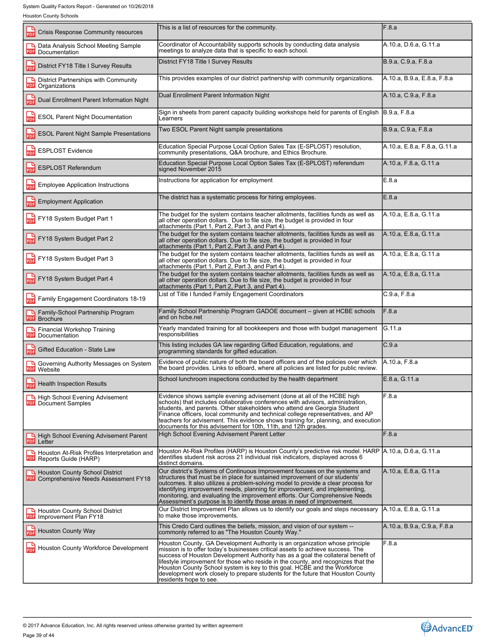| <b>Crisis Response Community resources</b><br>PDF                                       | This is a list of resources for the community.                                                                                                                                                                                                                                                                                                                                                                                                                                                                                  | F.8.a                        |
|-----------------------------------------------------------------------------------------|---------------------------------------------------------------------------------------------------------------------------------------------------------------------------------------------------------------------------------------------------------------------------------------------------------------------------------------------------------------------------------------------------------------------------------------------------------------------------------------------------------------------------------|------------------------------|
| Data Analysis School Meeting Sample<br>⊾<br>PDF<br>Documentation                        | Coordinator of Accountability supports schools by conducting data analysis<br>meetings to analyze data that is specific to each school.                                                                                                                                                                                                                                                                                                                                                                                         | A.10.a, D.6.a, G.11.a        |
| District FY18 Title I Survey Results<br>PDF                                             | District FY18 Title I Survey Results                                                                                                                                                                                                                                                                                                                                                                                                                                                                                            | B.9.a, C.9.a, F.8.a          |
| District Partnerships with Community<br>PDF<br>Organizations                            | This provides examples of our district partnership with community organizations.                                                                                                                                                                                                                                                                                                                                                                                                                                                | A.10.a, B.9.a, E.8.a, F.8.a  |
| Dual Enrollment Parent Information Night<br>PDF                                         | Dual Enrollment Parent Information Night                                                                                                                                                                                                                                                                                                                                                                                                                                                                                        | A.10.a, C.9.a, F.8.a         |
| $\frac{1}{PDF}$<br><b>ESOL Parent Night Documentation</b>                               | Sign in sheets from parent capacity building workshops held for parents of English B.9.a, F.8.a<br>Learners                                                                                                                                                                                                                                                                                                                                                                                                                     |                              |
| <b>ESOL Parent Night Sample Presentations</b><br>PDF                                    | Two ESOL Parent Night sample presentations                                                                                                                                                                                                                                                                                                                                                                                                                                                                                      | B.9.a, C.9.a, F.8.a          |
| <b>ESPLOST Evidence</b><br>PDF                                                          | Education Special Purpose Local Option Sales Tax (E-SPLOST) resolution,<br>community presentations, Q&A brochure, and Ethics Brochure.                                                                                                                                                                                                                                                                                                                                                                                          | A.10.a, E.8.a, F.8.a, G.11.a |
| <b>ESPLOST Referendum</b><br>PDF                                                        | Education Special Purpose Local Option Sales Tax (E-SPLOST) referendum<br>signed November 2015                                                                                                                                                                                                                                                                                                                                                                                                                                  | A.10.a, F.8.a, G.11.a        |
| <b>Employee Application Instructions</b><br>PDF                                         | Instructions for application for employment                                                                                                                                                                                                                                                                                                                                                                                                                                                                                     | E.8.a                        |
| <b>Employment Application</b><br>PDF                                                    | The district has a systematic process for hiring employees.                                                                                                                                                                                                                                                                                                                                                                                                                                                                     | E.8.a                        |
| 닖<br>FY18 System Budget Part 1                                                          | The budget for the system contains teacher allotments, facilities funds as well as<br>all other operation dollars. Due to file size, the budget is provided in four<br>attachments (Part 1, Part 2, Part 3, and Part 4).                                                                                                                                                                                                                                                                                                        | A.10.a, E.8.a, G.11.a        |
| FY18 System Budget Part 2                                                               | The budget for the system contains teacher allotments, facilities funds as well as<br>all other operation dollars. Due to file size, the budget is provided in four<br>attachments (Part 1, Part 2, Part 3, and Part 4).                                                                                                                                                                                                                                                                                                        | A.10.a, E.8.a, G.11.a        |
| FY18 System Budget Part 3                                                               | The budget for the system contains teacher allotments, facilities funds as well as<br>all other operation dollars. Due to file size, the budget is provided in four<br>attachments (Part 1, Part 2, Part 3, and Part 4).                                                                                                                                                                                                                                                                                                        | A.10.a, E.8.a, G.11.a        |
| FY18 System Budget Part 4                                                               | The budget for the system contains teacher allotments, facilities funds as well as<br>all other operation dollars. Due to file size, the budget is provided in four<br>attachments (Part 1, Part 2, Part 3, and Part 4).                                                                                                                                                                                                                                                                                                        | A.10.a, E.8.a, G.11.a        |
| 늛<br>Family Engagement Coordinators 18-19                                               | List of Title I funded Family Engagement Coordinators                                                                                                                                                                                                                                                                                                                                                                                                                                                                           | C.9.a, F.8.a                 |
| Family-School Partnership Program<br><b>PDF</b><br><b>Brochure</b>                      | Family School Partnership Program GADOE document – given at HCBE schools<br>and on hcbe.net                                                                                                                                                                                                                                                                                                                                                                                                                                     | F.8.a                        |
| Financial Workshop Training<br>PDF<br>Documentation                                     | Yearly mandated training for all bookkeepers and those with budget management<br>responsibilities                                                                                                                                                                                                                                                                                                                                                                                                                               | IG.11.a                      |
| Gifted Education - State Law                                                            | This listing includes GA law regarding Gifted Education, regulations, and<br>programming standards for gifted education.                                                                                                                                                                                                                                                                                                                                                                                                        | C.9.a                        |
| Governing Authority Messages on System<br><b>PDF</b><br>Website                         | Evidence of public nature of both the board officers and of the policies over which<br>the board provides. Links to eBoard, where all policies are listed for public review.                                                                                                                                                                                                                                                                                                                                                    | A.10.a, F.8.a                |
| г<br><b>PDF</b> Health Inspection Results                                               | School lunchroom inspections conducted by the health department                                                                                                                                                                                                                                                                                                                                                                                                                                                                 | E.8.a. G.11.a                |
| High School Evening Advisement<br><b>PDF</b> Document Samples                           | Evidence shows sample evening advisement (done at all of the HCBE high<br>schools) that includes collaborative conferences with advisors, administration,<br>students, and parents. Other stakeholders who attend are Georgia Student<br>Finance officers, local community and technical college representatives, and AP<br>teachers for advisement. This evidence shows training for, planning, and execution<br>documents for this advisement for 10th, 11th, and 12th grades.                                                | F.8.a                        |
| High School Evening Advisement Parent<br><b>PDF</b> Letter                              | High School Evening Advisement Parent Letter                                                                                                                                                                                                                                                                                                                                                                                                                                                                                    | F.8.a                        |
| Houston At-Risk Profiles Interpretation and<br>PDF Reports Guide (HARP)                 | Houston At-Risk Profiles (HARP) is Houston County's predictive risk model. HARP [A.10.a, D.6.a, G.11.a<br>identifies student risk across 21 individual risk indicators, displayed across 6<br>distinct domains.                                                                                                                                                                                                                                                                                                                 |                              |
| <b>Houston County School District</b><br><b>PDF</b> Comprehensive Needs Assessment FY18 | Our district's Systems of Continuous Improvement focuses on the systems and<br>structures that must be in place for sustained improvement of our students'<br>outcomes. It also utilizes a problem-solving model to provide a clear process for<br>identifying improvement needs, planning for improvement, and implementing,<br>monitoring, and evaluating the improvement efforts. Our Comprehensive Needs<br>Assessment's purpose is to identify those areas in need of improvement.                                         | A.10.a, E.8.a, G.11.a        |
| <b>Houston County School District</b><br><b>PDF</b><br>Improvement Plan FY18            | Our District Improvement Plan allows us to identify our goals and steps necessary<br>to make those improvements.                                                                                                                                                                                                                                                                                                                                                                                                                | A.10.a, E.8.a, G.11.a        |
| <b>Houston County Way</b><br><b>PDF</b>                                                 | This Credo Card outlines the beliefs, mission, and vision of our system --<br>commonly referred to as "The Houston County Way."                                                                                                                                                                                                                                                                                                                                                                                                 | A.10.a, B.9.a, C.9.a, F.8.a  |
| Houston County Workforce Development                                                    | Houston County, GA Development Authority is an organization whose principle<br>mission is to offer today's businesses critical assets to achieve success. The<br>success of Houston Development Authority has as a goal the collateral benefit of<br>lifestyle improvement for those who reside in the county, and recognizes that the<br>Houston County School system is key to this goal. HCBE and the Workforce<br>development work closely to prepare students for the future that Houston County<br>residents hope to see. | F.8.a                        |

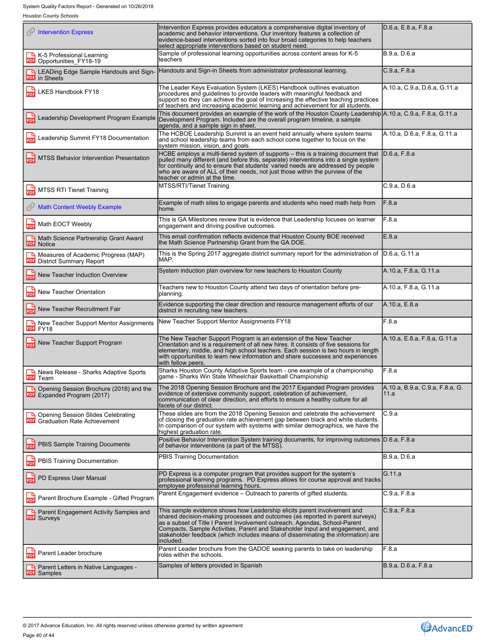System Quality Factors Report - Generated on 10/26/2018

Houston County Schools

| ◯ Intervention Express                                                        | Intervention Express provides educators a comprehensive digital inventory of<br>academic and behavior interventions. Our inventory features a collection of<br>evidence-based interventions sorted into four broad categories to help teachers<br>select appropriate interventions based on student need.                                                                                                                 | D.6.a, E.8.a, F.8.a                     |
|-------------------------------------------------------------------------------|---------------------------------------------------------------------------------------------------------------------------------------------------------------------------------------------------------------------------------------------------------------------------------------------------------------------------------------------------------------------------------------------------------------------------|-----------------------------------------|
| K-5 Professional Learning<br>PDF Opportunities_FY18-19                        | Sample of professional learning opportunities across content areas for K-5<br>teachers                                                                                                                                                                                                                                                                                                                                    | B.9.a, D.6.a                            |
| <b>A LEADing Edge Sample Handouts and Sign-</b><br><b>PDF</b> in Sheets       | Handouts and Sign-in Sheets from administrator professional learning.                                                                                                                                                                                                                                                                                                                                                     | C.9.a, F.8.a                            |
| LKES Handbook FY18                                                            | The Leader Keys Evaluation System (LKES) Handbook outlines evaluation<br>procedures and guidelines to provide leaders with meaningful feedback and<br>support so they can achieve the goal of increasing the effective teaching practices<br>of teachers and increasing academic learning and achievement for all students.                                                                                               | A.10.a, C.9.a, D.6.a, G.11.a            |
| <b>PDF</b> Leadership Development Program Example                             | This document provides an example of the work of the Houston County Leadership A.10.a, C.9.a, F.8.a, G.11.a<br>Development Program. Included are the overall program timeline, a sample<br>agenda, and a sample sign in sheet.                                                                                                                                                                                            |                                         |
| Leadership Summit FY18 Documentation                                          | The HCBOE Leadership Summit is an event held annually where system teams<br>and school leadership teams from each school come together to focus on the<br>system mission, vision, and goals                                                                                                                                                                                                                               | A.10.a, D.6.a, F.8.a, G.11.a            |
| MTSS Behavior Intervention Presentation                                       | HCBE employs a multi-tiered system of supports - this is a training document that<br>pulled many different (and before this, separate) interventions into a single system<br>for continuity and to ensure that students' varied needs are addressed by people<br>who are aware of ALL of their needs, not just those within the purview of the<br>teacher or admin at the time.                                           | D.6.a, F.8.a                            |
| <b>MTSS RTI Tienet Training</b><br>닖                                          | MTSS/RTI/Tienet Training                                                                                                                                                                                                                                                                                                                                                                                                  | C.9.a, D.6.a                            |
| <b>Math Content Weebly Example</b>                                            | Example of math sites to engage parents and students who need math help from<br>nome.                                                                                                                                                                                                                                                                                                                                     | F.8.a                                   |
| Math EOCT Weebly<br>PDF                                                       | This is GA Milestones review that is evidence that Leadership focuses on learner<br>engagement and driving positive outcomes.                                                                                                                                                                                                                                                                                             | F.8.a                                   |
| Math Science Partnership Grant Award<br><b>PDF</b> Notice                     | This email confirmation reflects evidence that Houston County BOE received<br>the Math Science Partnership Grant from the GA DOE.                                                                                                                                                                                                                                                                                         | E.8.a                                   |
| Measures of Academic Progress (MAP)<br><b>PDF</b> District Summary Report     | This is the Spring 2017 aggregate district summary report for the administration of<br>MAP.                                                                                                                                                                                                                                                                                                                               | D.6.a. G.11.a                           |
| New Teacher Induction Overview                                                | System induction plan overview for new teachers to Houston County                                                                                                                                                                                                                                                                                                                                                         | A.10.a, F.8.a, G.11.a                   |
| New Teacher Orientation<br>PDF                                                | Teachers new to Houston County attend two days of orientation before pre-<br>planning.                                                                                                                                                                                                                                                                                                                                    | A.10.a, F.8.a, G.11.a                   |
| New Teacher Recruitment Fair                                                  | Evidence supporting the clear direction and resource management efforts of our<br>district in recruiting new teachers.                                                                                                                                                                                                                                                                                                    | A.10.a, E.8.a                           |
| New Teacher Support Mentor Assignments<br>PDF FY18                            | New Teacher Support Mentor Assignments FY18                                                                                                                                                                                                                                                                                                                                                                               | F.8.a                                   |
| New Teacher Support Program                                                   | The New Teacher Support Program is an extension of the New Teacher<br>Orientation and is a requirement of all new hires. It consists of five sessions for<br>elementary, middle, and high school teachers. Each session is two hours in length<br>with opportunities to learn new information and share successes and experiences<br>with fellow peers.                                                                   | A.10.a, E.8.a, F.8.a, G.11.a            |
| News Release - Sharks Adaptive Sports<br>PDF Team                             | Sharks Houston County Adaptive Sports team - one example of a championship<br>game - Sharks Win State Wheelchair Basketball Championship                                                                                                                                                                                                                                                                                  | F.8.a                                   |
| Opening Session Brochure (2018) and the<br><b>PDF</b> Expanded Program (2017) | The 2018 Opening Session Brochure and the 2017 Expanded Program provides<br>evidence of extensive community support, celebration of achievement,<br>communication of clear direction, and efforts to ensure a healthy culture for all<br>facets of our district.                                                                                                                                                          | A.10.a, B.9.a, C.9.a, F.8.a, G.<br>11.a |
| Opening Session Slides Celebrating<br><b>PDF</b> Graduation Rate Achievement  | These slides are from the 2018 Opening Session and celebrate the achievement<br>of closing the graduation rate achievement gap between black and white students.<br>In comparison of our system with systems with similar demographics, we have the<br>highest graduation rate.                                                                                                                                           | C.9.a                                   |
| <b>PBIS Sample Training Documents</b>                                         | Positive Behavior Intervention System training documents, for improving outcomes D.6.a, F.8.a<br>of behavior interventions (a part of the MTSS).                                                                                                                                                                                                                                                                          |                                         |
| PBIS Training Documentation<br>PDF                                            | PBIS Training Documentation                                                                                                                                                                                                                                                                                                                                                                                               | B.9.a, D.6.a                            |
| <b>PDF</b> PD Express User Manual                                             | PD Express is a computer program that provides support for the system's<br>professional learning programs. PD Express allows for course approval and tracks<br>employee professional learning hours.                                                                                                                                                                                                                      | G.11.a                                  |
| Parent Brochure Example - Gifted Program<br><b>PDF</b>                        | Parent Engagement evidence - Outreach to parents of gifted students.                                                                                                                                                                                                                                                                                                                                                      | C.9.a, F.8.a                            |
| <b>A</b> Parent Engagement Activity Samples and<br><b>PDF</b> Surveys         | This sample evidence shows how Leadership elicits parent involvement and<br>shared decision-making processes and outcomes (as reported in parent surveys)<br>as a subset of Title I Parent Involvement outreach. Agendas, School-Parent<br>Compacts, Sample Activities, Parent and Stakeholder Input and engagement, and<br>stakeholder feedback (which includes means of disseminating the information) are<br>included. | C.9.a, F.8.a                            |
| Parent Leader brochure<br><b>PDF</b>                                          | Parent Leader brochure from the GADOE seeking parents to take on leadership<br>roles within the schools.                                                                                                                                                                                                                                                                                                                  | F.8.a                                   |
| Parent Letters in Native Languages -<br><b>PDF</b> Samples                    | Samples of letters provided in Spanish                                                                                                                                                                                                                                                                                                                                                                                    | B.9.a, D.6.a, F.8.a                     |
|                                                                               |                                                                                                                                                                                                                                                                                                                                                                                                                           |                                         |

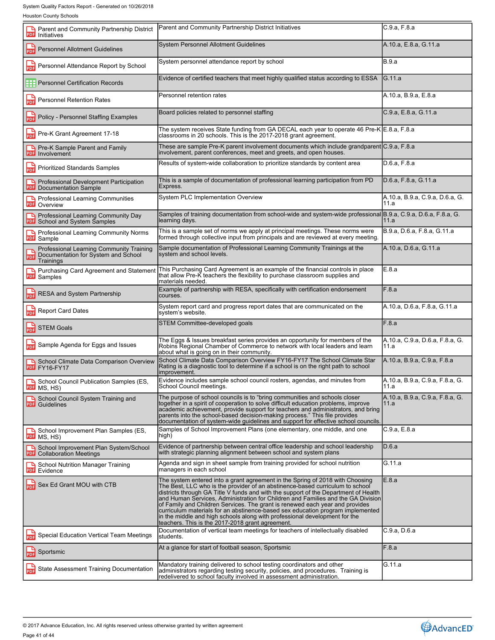| Parent and Community Partnership District<br>PDF<br>Initiatives                                     | Parent and Community Partnership District Initiatives                                                                                                                                                                                                                                                                                                                                                                                                                                                                                                                                                                                         | C.9.a, F.8.a                            |
|-----------------------------------------------------------------------------------------------------|-----------------------------------------------------------------------------------------------------------------------------------------------------------------------------------------------------------------------------------------------------------------------------------------------------------------------------------------------------------------------------------------------------------------------------------------------------------------------------------------------------------------------------------------------------------------------------------------------------------------------------------------------|-----------------------------------------|
| <b>Personnel Allotment Guidelines</b><br>PDF                                                        | <b>System Personnel Allotment Guidelines</b>                                                                                                                                                                                                                                                                                                                                                                                                                                                                                                                                                                                                  | A.10.a, E.8.a, G.11.a                   |
| Personnel Attendance Report by School<br>PDF                                                        | System personnel attendance report by school                                                                                                                                                                                                                                                                                                                                                                                                                                                                                                                                                                                                  | <b>B.9.a</b>                            |
| Personnel Certification Records                                                                     | Evidence of certified teachers that meet highly qualified status according to ESSA                                                                                                                                                                                                                                                                                                                                                                                                                                                                                                                                                            | <b>G.11.a</b>                           |
| <b>Personnel Retention Rates</b><br>PDF                                                             | Personnel retention rates                                                                                                                                                                                                                                                                                                                                                                                                                                                                                                                                                                                                                     | A.10.a, B.9.a, E.8.a                    |
| Policy - Personnel Staffing Examples<br>PDF                                                         | Board policies related to personnel staffing                                                                                                                                                                                                                                                                                                                                                                                                                                                                                                                                                                                                  | C.9.a, E.8.a, G.11.a                    |
| Pre-K Grant Agreement 17-18<br>PDF                                                                  | The system receives State funding from GA DECAL each year to operate 46 Pre-K E.8.a, F.8.a<br>classrooms in 20 schools. This is the 2017-2018 grant agreement.                                                                                                                                                                                                                                                                                                                                                                                                                                                                                |                                         |
| Pre-K Sample Parent and Family<br><b>PDF</b><br>Involvement                                         | These are sample Pre-K parent involvement documents which include grandparent C.9.a, F.8.a<br>involvement, parent conferences, meet and greets, and open houses.                                                                                                                                                                                                                                                                                                                                                                                                                                                                              |                                         |
| <b>Prioritized Standards Samples</b><br>PDF                                                         | Results of system-wide collaboration to prioritize standards by content area                                                                                                                                                                                                                                                                                                                                                                                                                                                                                                                                                                  | D.6.a, F.8.a                            |
| Professional Development Participation<br><b>PDF</b> Documentation Sample                           | This is a sample of documentation of professional learning participation from PD<br>Express.                                                                                                                                                                                                                                                                                                                                                                                                                                                                                                                                                  | D.6.a, F.8.a, G.11.a                    |
| <b>Professional Learning Communities</b><br>٣<br><b>PDF</b> Overview                                | System PLC Implementation Overview                                                                                                                                                                                                                                                                                                                                                                                                                                                                                                                                                                                                            | A.10.a, B.9.a, C.9.a, D.6.a, G.<br>11.a |
| Professional Learning Community Day<br>School and System Samples<br>PDF                             | Samples of training documentation from school-wide and system-wide professional B.9.a, C.9.a, D.6.a, F.8.a, G.<br>learning days.                                                                                                                                                                                                                                                                                                                                                                                                                                                                                                              | 11.a                                    |
| Professional Learning Community Norms<br>PDF<br>Sample                                              | This is a sample set of norms we apply at principal meetings. These norms were<br>formed through collective input from principals and are reviewed at every meeting.                                                                                                                                                                                                                                                                                                                                                                                                                                                                          | B.9.a, D.6.a, F.8.a, G.11.a             |
| Professional Learning Community Training<br>Documentation for System and School<br>PDF<br>Trainings | Sample documentation of Professional Learning Community Trainings at the<br>system and school levels.                                                                                                                                                                                                                                                                                                                                                                                                                                                                                                                                         | A.10.a, D.6.a, G.11.a                   |
| Purchasing Card Agreement and Statement<br><b>PDF</b> Samples                                       | This Purchasing Card Agreement is an example of the financial controls in place<br>that allow Pre-K teachers the flexibility to purchase classroom supplies and<br>materials needed.                                                                                                                                                                                                                                                                                                                                                                                                                                                          | E.8.a                                   |
| RESA and System Partnership                                                                         | Example of partnership with RESA, specifically with certification endorsement<br>courses.                                                                                                                                                                                                                                                                                                                                                                                                                                                                                                                                                     | F.8.a                                   |
| <b>Report Card Dates</b><br>PDF                                                                     | System report card and progress report dates that are communicated on the<br>system's website.                                                                                                                                                                                                                                                                                                                                                                                                                                                                                                                                                | A.10.a, D.6.a, F.8.a, G.11.a            |
| <b>STEM Goals</b><br>PDF                                                                            | STEM Committee-developed goals                                                                                                                                                                                                                                                                                                                                                                                                                                                                                                                                                                                                                | F.8.a                                   |
| 品<br>Sample Agenda for Eggs and Issues                                                              | The Eggs & Issues breakfast series provides an opportunity for members of the<br>Robins Regional Chamber of Commerce to network with local leaders and learn<br>about what is going on in their community.                                                                                                                                                                                                                                                                                                                                                                                                                                    | A.10.a, C.9.a, D.6.a, F.8.a, G.<br>11.a |
| School Climate Data Comparison Overview<br>PDF FY16-FY17                                            | School Climate Data Comparison Overview FY16-FY17 The School Climate Star<br>Rating is a diagnostic tool to determine if a school is on the right path to school<br>improvement.                                                                                                                                                                                                                                                                                                                                                                                                                                                              | A.10.a, B.9.a, C.9.a, F.8.a             |
| School Council Publication Samples (ES,<br>PDF MS, HS)                                              | Evidence includes sample school council rosters, agendas, and minutes from<br>School Council meetings.                                                                                                                                                                                                                                                                                                                                                                                                                                                                                                                                        | A.10.a, B.9.a, C.9.a, F.8.a, G.<br>11.a |
| School Council System Training and<br><b>PDF</b> Guidelines                                         | The purpose of school councils is to "bring communities and schools closer<br>together in a spirit of cooperation to solve difficult education problems, improve<br>academic achievement, provide support for teachers and administrators, and bring<br>parents into the school-based decision-making process." This file provides<br>documentation of system-wide guidelines and support for effective school councils.                                                                                                                                                                                                                      | A.10.a, B.9.a, C.9.a, F.8.a, G.<br>11.a |
| School Improvement Plan Samples (ES,<br>PDF MS, HS)                                                 | Samples of School Improvement Plans (one elementary, one middle, and one<br>high)                                                                                                                                                                                                                                                                                                                                                                                                                                                                                                                                                             | C.9.a, E.8.a                            |
| School Improvement Plan System/School<br><b>PDF</b><br><b>Collaboration Meetings</b>                | Evidence of partnership between central office leadership and school leadership<br>with strategic planning alignment between school and system plans                                                                                                                                                                                                                                                                                                                                                                                                                                                                                          | D.6.a                                   |
| <b>School Nutrition Manager Training</b><br><b>PDF</b><br>Evidence                                  | Agenda and sign in sheet sample from training provided for school nutrition<br>managers in each school                                                                                                                                                                                                                                                                                                                                                                                                                                                                                                                                        | IG.11.a                                 |
| <b>PDF</b> Sex Ed Grant MOU with CTB                                                                | The system entered into a grant agreement in the Spring of 2018 with Choosing<br>The Best, LLC who is the provider of an abstinence-based curriculum to school<br>districts through GA Title V funds and with the support of the Department of Health<br>and Human Services, Administration for Children and Families and the GA Division<br>of Family and Children Services. The grant is renewed each year and provides<br>curriculum materials for an abstinence-based sex education program implemented<br>in the middle and high schools along with professional development for the<br>teachers. This is the 2017-2018 grant agreement. | E.8.a                                   |
| Special Education Vertical Team Meetings<br>PDF                                                     | Documentation of vertical team meetings for teachers of intellectually disabled<br>students.                                                                                                                                                                                                                                                                                                                                                                                                                                                                                                                                                  | C.9.a, D.6.a                            |
| Sportsmic<br>PDF                                                                                    | At a glance for start of football season, Sportsmic                                                                                                                                                                                                                                                                                                                                                                                                                                                                                                                                                                                           | F.8.a                                   |
| State Assessment Training Documentation<br><b>PDF</b>                                               | Mandatory training delivered to school testing coordinators and other<br>administrators regarding testing security, policies, and procedures. Training is<br>redelivered to school faculty involved in assessment administration.                                                                                                                                                                                                                                                                                                                                                                                                             | G.11.a                                  |
|                                                                                                     |                                                                                                                                                                                                                                                                                                                                                                                                                                                                                                                                                                                                                                               |                                         |

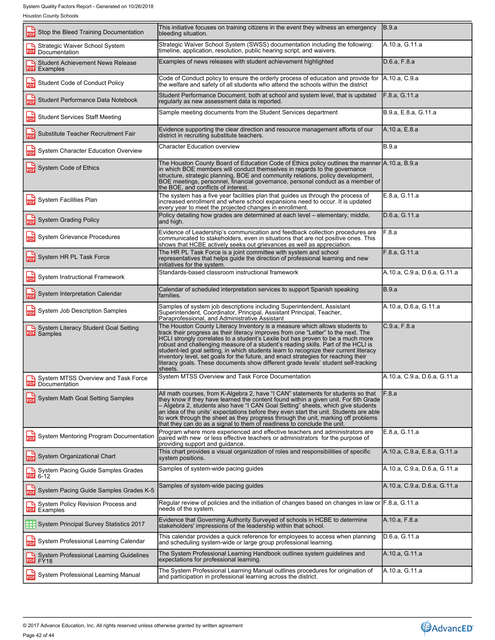| Stop the Bleed Training Documentation<br>PDF                    | This initiative focuses on training citizens in the event they witness an emergency<br>bleeding situation.                                                                                                                                                                                                                                                                                                                                                                                                                                                                                                                | B.9.a                        |
|-----------------------------------------------------------------|---------------------------------------------------------------------------------------------------------------------------------------------------------------------------------------------------------------------------------------------------------------------------------------------------------------------------------------------------------------------------------------------------------------------------------------------------------------------------------------------------------------------------------------------------------------------------------------------------------------------------|------------------------------|
| Strategic Waiver School System<br>╶<br><b>PDF</b> Documentation | Strategic Waiver School System (SWSS) documentation including the following:<br>timeline, application, resolution, public hearing script, and waivers.                                                                                                                                                                                                                                                                                                                                                                                                                                                                    | A.10.a, G.11.a               |
| <b>Student Achievement News Release</b><br><b>PDF</b> Examples  | Examples of news releases with student achievement highlighted                                                                                                                                                                                                                                                                                                                                                                                                                                                                                                                                                            | D.6.a, F.8.a                 |
| $\frac{1}{\text{p}}$<br>Student Code of Conduct Policy          | Code of Conduct policy to ensure the orderly process of education and provide for<br>the welfare and safety of all students who attend the schools within the district                                                                                                                                                                                                                                                                                                                                                                                                                                                    | A.10.a, C.9.a                |
| Student Performance Data Notebook<br>PDF                        | Student Performance Document, both at school and system level, that is updated<br>regularly as new assessment data is reported.                                                                                                                                                                                                                                                                                                                                                                                                                                                                                           | F.8.a, G.11.a                |
| 닖<br><b>Student Services Staff Meeting</b>                      | Sample meeting documents from the Student Services department                                                                                                                                                                                                                                                                                                                                                                                                                                                                                                                                                             | B.9.a, E.8.a, G.11.a         |
| Substitute Teacher Recruitment Fair<br>PDF                      | Evidence supporting the clear direction and resource management efforts of our<br>district in recruiting substitute teachers.                                                                                                                                                                                                                                                                                                                                                                                                                                                                                             | A.10.a, E.8.a                |
| System Character Education Overview<br>PDF                      | <b>Character Education overview</b>                                                                                                                                                                                                                                                                                                                                                                                                                                                                                                                                                                                       | <b>B.9.a</b>                 |
| System Code of Ethics                                           | The Houston County Board of Education Code of Ethics policy outlines the manner A.10.a, B.9.a<br>in which BOE members will conduct themselves in regards to the governance<br>structure, strategic planning, BOE and community relations, policy development,<br>BOE meetings, personnel, financial governance, personal conduct as a member of<br>the BOE, and conflicts of interest.                                                                                                                                                                                                                                    |                              |
| System Facilities Plan                                          | The system has a five year facilities plan that guides us through the process of<br>increased enrollment and where school expansions need to occur. It is updated<br>every year to meet the projected changes in enrollment.                                                                                                                                                                                                                                                                                                                                                                                              | E.8.a. G.11.a                |
| <b>PDF</b> System Grading Policy                                | Policy detailing how grades are determined at each level – elementary, middle,<br>and high.                                                                                                                                                                                                                                                                                                                                                                                                                                                                                                                               | D.6.a, G.11.a                |
| System Grievance Procedures                                     | Evidence of Leadership's communication and feedback collection procedures are<br>communicated to stakeholders, even in situations that are not positive ones. This<br>shows that HCBE actively seeks out grievances as well as appreciation.                                                                                                                                                                                                                                                                                                                                                                              | F.8.a                        |
| System HR PL Task Force                                         | The HR PL Task Force is a joint committee with system and school<br>representatives that helps guide the direction of professional learning and new<br>initiatives for the system.                                                                                                                                                                                                                                                                                                                                                                                                                                        | F.8.a, G.11.a                |
| 늛<br>System Instructional Framework                             | Standards-based classroom instructional framework                                                                                                                                                                                                                                                                                                                                                                                                                                                                                                                                                                         | A.10.a, C.9.a, D.6.a, G.11.a |
| System Interpretation Calendar<br>PDF                           | Calendar of scheduled interpretation services to support Spanish speaking<br>families.                                                                                                                                                                                                                                                                                                                                                                                                                                                                                                                                    | <b>B.9.a</b>                 |
| System Job Description Samples                                  | Samples of system job descriptions including Superintendent, Assistant<br>Superintendent, Coordinator, Principal, Assistant Principal, Teacher,<br>Paraprofessional, and Administrative Assistant                                                                                                                                                                                                                                                                                                                                                                                                                         | A.10.a, D.6.a, G.11.a        |
| System Literacy Student Goal Setting<br><b>PDF</b> Samples      | The Houston County Literacy Inventory is a measure which allows students to<br>track their progress as their literacy improves from one "Letter" to the next. The<br>HCLI strongly correlates to a student's Lexile but has proven to be a much more<br>robust and challenging measure of a student's reading skills. Part of the HCLI is<br>student-led goal setting, in which students learn to recognize their current literacy<br>inventory level, set goals for the future, and enact strategies for reaching their<br>literacy goals. These documents show different grade levels' student self-tracking<br>sheets. | C.9.a, F.8.a                 |
| System MTSS Overview and Task Force<br><b>PDF</b> Documentation | System MTSS Overview and Task Force Documentation                                                                                                                                                                                                                                                                                                                                                                                                                                                                                                                                                                         | A.10.a. C.9.a. D.6.a. G.11.a |
| System Math Goal Setting Samples                                | All math courses, from K-Algebra 2, have "I CAN" statements for students so that<br>they know if they have learned the content found within a given unit. For 6th Grade<br>– Algebra 2, students also have "I CAN Goal Setting" sheets, which give students<br>an idea of the units' expectations before they even start the unit. Students are able<br>to work through the sheet as they progress through the unit, marking off problems<br>that they can do as a signal to them of readiness to conclude the unit                                                                                                       | F.8.a                        |
| <b>PDF</b> System Mentoring Program Documentation               | Program where more experienced and effective teachers and administrators are<br>paired with new or less effective teachers or administrators for the purpose of<br>providing support and guidance.                                                                                                                                                                                                                                                                                                                                                                                                                        | E.8.a. G.11.a                |
| System Organizational Chart                                     | This chart provides a visual organization of roles and responsibilities of specific<br>system positions.                                                                                                                                                                                                                                                                                                                                                                                                                                                                                                                  | A.10.a, C.9.a, E.8.a, G.11.a |
| System Pacing Guide Samples Grades                              | Samples of system-wide pacing quides                                                                                                                                                                                                                                                                                                                                                                                                                                                                                                                                                                                      | A.10.a, C.9.a, D.6.a, G.11.a |
| System Pacing Guide Samples Grades K-5                          | Samples of system-wide pacing guides                                                                                                                                                                                                                                                                                                                                                                                                                                                                                                                                                                                      | A.10.a, C.9.a, D.6.a, G.11.a |
| System Policy Revision Process and<br>PDF Examples              | Regular review of policies and the initiation of changes based on changes in law or $F.8.a, G.11.a$<br>needs of the system.                                                                                                                                                                                                                                                                                                                                                                                                                                                                                               |                              |
| System Principal Survey Statistics 2017                         | Evidence that Governing Authority Surveyed of schools in HCBE to determine<br>stakeholders' impressions of the leadership within that school.                                                                                                                                                                                                                                                                                                                                                                                                                                                                             | A.10.a, F.8.a                |
| 닖<br>System Professional Learning Calendar                      | This calendar provides a quick reference for employees to access when planning<br>and scheduling system-wide or large group professional learning.                                                                                                                                                                                                                                                                                                                                                                                                                                                                        | D.6.a, G.11.a                |
| System Professional Learning Guidelines<br>PDF FY18             | The System Professional Learning Handbook outlines system guidelines and<br>expectations for professional learning.                                                                                                                                                                                                                                                                                                                                                                                                                                                                                                       | A.10.a, G.11.a               |
| System Professional Learning Manual                             | The System Professional Learning Manual outlines procedures for origination of<br>and participation in professional learning across the district.                                                                                                                                                                                                                                                                                                                                                                                                                                                                         | A.10.a, G.11.a               |
|                                                                 |                                                                                                                                                                                                                                                                                                                                                                                                                                                                                                                                                                                                                           |                              |

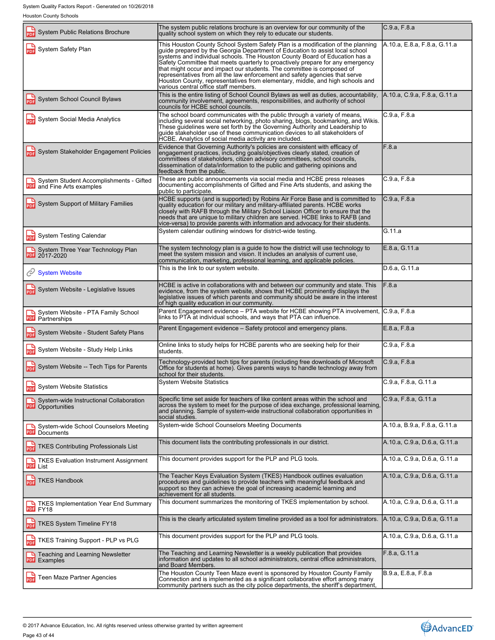| <b>IDUSION COUNTY OUTDUIS</b>                                                |                                                                                                                                                                                                                                                                                                                                                                                                                                                                                                                                                                                                                     |                              |
|------------------------------------------------------------------------------|---------------------------------------------------------------------------------------------------------------------------------------------------------------------------------------------------------------------------------------------------------------------------------------------------------------------------------------------------------------------------------------------------------------------------------------------------------------------------------------------------------------------------------------------------------------------------------------------------------------------|------------------------------|
| <b>System Public Relations Brochure</b><br>PDF                               | The system public relations brochure is an overview for our community of the<br>quality school system on which they rely to educate our students.                                                                                                                                                                                                                                                                                                                                                                                                                                                                   | C.9.a, F.8.a                 |
| <b>PDF</b> System Safety Plan                                                | This Houston County School System Safety Plan is a modification of the planning<br>guide prepared by the Georgia Department of Education to assist local school<br>systems and individual schools. The Houston County Board of Education has a<br>Safety Committee that meets quarterly to proactively prepare for any emergency<br>that might occur and impact our students. The committee is composed of<br>representatives from all the law enforcement and safety agencies that serve<br>Houston County, representatives from elementary, middle, and high schools and<br>various central office staff members. | A.10.a, E.8.a, F.8.a, G.11.a |
| System School Council Bylaws                                                 | This is the entire listing of School Council Bylaws as well as duties, accountability,<br>community involvement, agreements, responsibilities, and authority of school<br>councils for HCBE school councils.                                                                                                                                                                                                                                                                                                                                                                                                        | A.10.a, C.9.a, F.8.a, G.11.a |
| System Social Media Analytics                                                | The school board communicates with the public through a variety of means,<br>including several social networking, photo sharing, blogs, bookmarking, and Wikis.<br>These guidelines were set forth by the Governing Authority and Leadership to<br>quide stakeholder use of these communication devices to all stakeholders of<br>HCBE. Analytics of social media activity are included                                                                                                                                                                                                                             | C.9.a, F.8.a                 |
| System Stakeholder Engagement Policies                                       | Evidence that Governing Authority's policies are consistent with efficacy of<br>engagement practices, including goals/objectives clearly stated, creation of<br>committees of stakeholders, citizen advisory committees, school councils,<br>dissemination of data/information to the public and gathering opinions and<br>feedback from the public.                                                                                                                                                                                                                                                                | F.8.a                        |
| System Student Accomplishments - Gifted<br><b>PDF</b> and Fine Arts examples | These are public announcements via social media and HCBE press releases<br>documenting accomplishments of Gifted and Fine Arts students, and asking the<br>public to participate.                                                                                                                                                                                                                                                                                                                                                                                                                                   | C.9.a, F.8.a                 |
| System Support of Military Families                                          | HCBE supports (and is supported) by Robins Air Force Base and is committed to<br>quality education for our military and military-affiliated parents. HCBE works<br>closely with RAFB through the Military School Liaison Officer to ensure that the<br>needs that are unique to military children are served. HCBE links to RAFB (and<br>vice-versa) to provide parents with information and advocacy for their students.                                                                                                                                                                                           | C.9.a, F.8.a                 |
| <b>System Testing Calendar</b><br>늛                                          | System calendar outlining windows for district-wide testing.                                                                                                                                                                                                                                                                                                                                                                                                                                                                                                                                                        | G.11.a                       |
| System Three Year Technology Plan                                            | The system technology plan is a guide to how the district will use technology to<br>meet the system mission and vision. It includes an analysis of current use,<br>communication, marketing, professional learning, and applicable policies.                                                                                                                                                                                                                                                                                                                                                                        | E.8.a, G.11.a                |
| System Website                                                               | This is the link to our system website.                                                                                                                                                                                                                                                                                                                                                                                                                                                                                                                                                                             | D.6.a, G.11.a                |
| <b>PDF</b> System Website - Legislative Issues                               | HCBE is active in collaborations with and between our community and state. This<br>evidence, from the system website, shows that HCBE prominently displays the<br>legislative issues of which parents and community should be aware in the interest<br>of high quality education in our community.                                                                                                                                                                                                                                                                                                                  | F.8.a                        |
| System Website - PTA Family School<br><b>PDF</b> Partnerships                | Parent Engagement evidence – PTA website for HCBE showing PTA involvement,<br>links to PTA at individual schools, and ways that PTA can influence.                                                                                                                                                                                                                                                                                                                                                                                                                                                                  | C.9.a, F.8.a                 |
| System Website - Student Safety Plans<br>PDF                                 | Parent Engagement evidence – Safety protocol and emergency plans.                                                                                                                                                                                                                                                                                                                                                                                                                                                                                                                                                   | E.8.a, F.8.a                 |
| PDF System Website - Study Help Links                                        | Online links to study helps for HCBE parents who are seeking help for their<br>students.                                                                                                                                                                                                                                                                                                                                                                                                                                                                                                                            | C.9.a, F.8.a                 |
| System Website -- Tech Tips for Parents                                      | Technology-provided tech tips for parents (including free downloads of Microsoft<br>Office for students at home). Gives parents ways to handle technology away from<br>school for their students.                                                                                                                                                                                                                                                                                                                                                                                                                   | C.9.a, F.8.a                 |
| <b>System Website Statistics</b><br>PDF                                      | <b>System Website Statistics</b>                                                                                                                                                                                                                                                                                                                                                                                                                                                                                                                                                                                    | C.9.a, F.8.a, G.11.a         |
| System-wide Instructional Collaboration<br><b>PDF</b> Opportunities          | Specific time set aside for teachers of like content areas within the school and<br>across the system to meet for the purpose of idea exchange, professional learning,<br>and planning. Sample of system-wide instructional collaboration opportunities in<br>social studies.                                                                                                                                                                                                                                                                                                                                       | C.9.a, F.8.a, G.11.a         |
| System-wide School Counselors Meeting<br><b>PDF</b> Documents                | System-wide School Counselors Meeting Documents                                                                                                                                                                                                                                                                                                                                                                                                                                                                                                                                                                     | A.10.a, B.9.a, F.8.a, G.11.a |
| <b>TKES Contributing Professionals List</b><br><b>PDF</b>                    | This document lists the contributing professionals in our district.                                                                                                                                                                                                                                                                                                                                                                                                                                                                                                                                                 | A.10.a. C.9.a. D.6.a. G.11.a |
| TKES Evaluation Instrument Assignment<br><b>PDF</b> List                     | This document provides support for the PLP and PLG tools.                                                                                                                                                                                                                                                                                                                                                                                                                                                                                                                                                           | A.10.a, C.9.a, D.6.a, G.11.a |
| <b>PDE</b> TKES Handbook                                                     | The Teacher Keys Evaluation System (TKES) Handbook outlines evaluation<br>procedures and guidelines to provide teachers with meaningful feedback and<br>support so they can achieve the goal of increasing academic learning and<br>achievement for all students.                                                                                                                                                                                                                                                                                                                                                   | A.10.a, C.9.a, D.6.a, G.11.a |
| TKES Implementation Year End Summary<br>PDF FY18                             | This document summarizes the monitoring of TKES implementation by school.                                                                                                                                                                                                                                                                                                                                                                                                                                                                                                                                           | A.10.a, C.9.a, D.6.a, G.11.a |
| TKES System Timeline FY18<br><b>PDF</b>                                      | This is the clearly articulated system timeline provided as a tool for administrators.                                                                                                                                                                                                                                                                                                                                                                                                                                                                                                                              | A.10.a, C.9.a, D.6.a, G.11.a |
| TKES Training Support - PLP vs PLG                                           | This document provides support for the PLP and PLG tools.                                                                                                                                                                                                                                                                                                                                                                                                                                                                                                                                                           | A.10.a, C.9.a, D.6.a, G.11.a |
| <b>F</b> Teaching and Learning Newsletter<br>PDF Examples                    | The Teaching and Learning Newsletter is a weekly publication that provides<br>information and updates to all school administrators, central office administrators,<br>and Board Members.                                                                                                                                                                                                                                                                                                                                                                                                                            | F.8.a, G.11.a                |
| <b>PDF</b> Teen Maze Partner Agencies                                        | The Houston County Teen Maze event is sponsored by Houston County Family<br>Connection and is implemented as a significant collaborative effort among many<br>community partners such as the city police departments, the sheriff's department,                                                                                                                                                                                                                                                                                                                                                                     | B.9.a, E.8.a, F.8.a          |
|                                                                              |                                                                                                                                                                                                                                                                                                                                                                                                                                                                                                                                                                                                                     |                              |